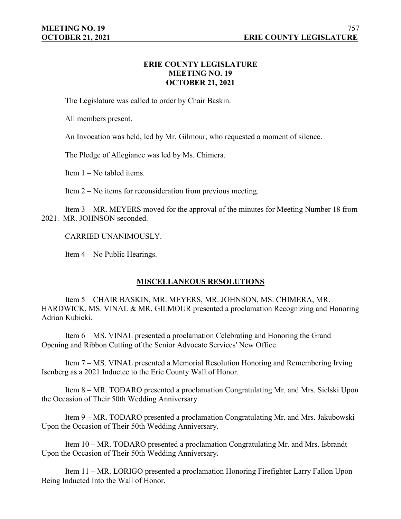# **ERIE COUNTY LEGISLATURE MEETING NO. 19 OCTOBER 21, 2021**

The Legislature was called to order by Chair Baskin.

All members present.

An Invocation was held, led by Mr. Gilmour, who requested a moment of silence.

The Pledge of Allegiance was led by Ms. Chimera.

Item 1 – No tabled items.

Item 2 – No items for reconsideration from previous meeting.

Item 3 – MR. MEYERS moved for the approval of the minutes for Meeting Number 18 from 2021. MR. JOHNSON seconded.

CARRIED UNANIMOUSLY.

Item 4 – No Public Hearings.

# **MISCELLANEOUS RESOLUTIONS**

Item 5 – CHAIR BASKIN, MR. MEYERS, MR. JOHNSON, MS. CHIMERA, MR. HARDWICK, MS. VINAL & MR. GILMOUR presented a proclamation Recognizing and Honoring Adrian Kubicki.

Item 6 – MS. VINAL presented a proclamation Celebrating and Honoring the Grand Opening and Ribbon Cutting of the Senior Advocate Services' New Office.

Item 7 – MS. VINAL presented a Memorial Resolution Honoring and Remembering Irving Isenberg as a 2021 Inductee to the Erie County Wall of Honor.

Item 8 – MR. TODARO presented a proclamation Congratulating Mr. and Mrs. Sielski Upon the Occasion of Their 50th Wedding Anniversary.

Item 9 – MR. TODARO presented a proclamation Congratulating Mr. and Mrs. Jakubowski Upon the Occasion of Their 50th Wedding Anniversary.

Item 10 – MR. TODARO presented a proclamation Congratulating Mr. and Mrs. Isbrandt Upon the Occasion of Their 50th Wedding Anniversary.

Item 11 – MR. LORIGO presented a proclamation Honoring Firefighter Larry Fallon Upon Being Inducted Into the Wall of Honor.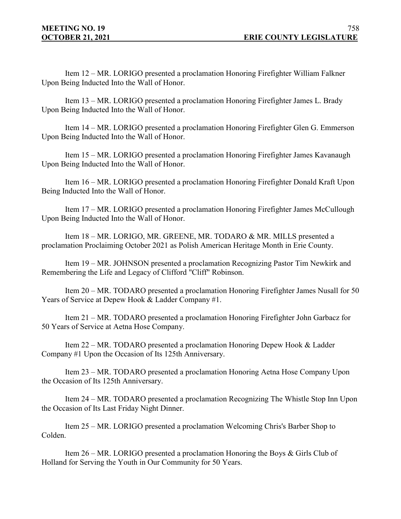Item 12 – MR. LORIGO presented a proclamation Honoring Firefighter William Falkner Upon Being Inducted Into the Wall of Honor.

Item 13 – MR. LORIGO presented a proclamation Honoring Firefighter James L. Brady Upon Being Inducted Into the Wall of Honor.

Item 14 – MR. LORIGO presented a proclamation Honoring Firefighter Glen G. Emmerson Upon Being Inducted Into the Wall of Honor.

Item 15 – MR. LORIGO presented a proclamation Honoring Firefighter James Kavanaugh Upon Being Inducted Into the Wall of Honor.

Item 16 – MR. LORIGO presented a proclamation Honoring Firefighter Donald Kraft Upon Being Inducted Into the Wall of Honor.

Item 17 – MR. LORIGO presented a proclamation Honoring Firefighter James McCullough Upon Being Inducted Into the Wall of Honor.

Item 18 – MR. LORIGO, MR. GREENE, MR. TODARO & MR. MILLS presented a proclamation Proclaiming October 2021 as Polish American Heritage Month in Erie County.

Item 19 – MR. JOHNSON presented a proclamation Recognizing Pastor Tim Newkirk and Remembering the Life and Legacy of Clifford "Cliff" Robinson.

Item 20 – MR. TODARO presented a proclamation Honoring Firefighter James Nusall for 50 Years of Service at Depew Hook & Ladder Company #1.

Item 21 – MR. TODARO presented a proclamation Honoring Firefighter John Garbacz for 50 Years of Service at Aetna Hose Company.

Item 22 – MR. TODARO presented a proclamation Honoring Depew Hook & Ladder Company #1 Upon the Occasion of Its 125th Anniversary.

Item 23 – MR. TODARO presented a proclamation Honoring Aetna Hose Company Upon the Occasion of Its 125th Anniversary.

Item 24 – MR. TODARO presented a proclamation Recognizing The Whistle Stop Inn Upon the Occasion of Its Last Friday Night Dinner.

Item 25 – MR. LORIGO presented a proclamation Welcoming Chris's Barber Shop to Colden.

Item 26 – MR. LORIGO presented a proclamation Honoring the Boys & Girls Club of Holland for Serving the Youth in Our Community for 50 Years.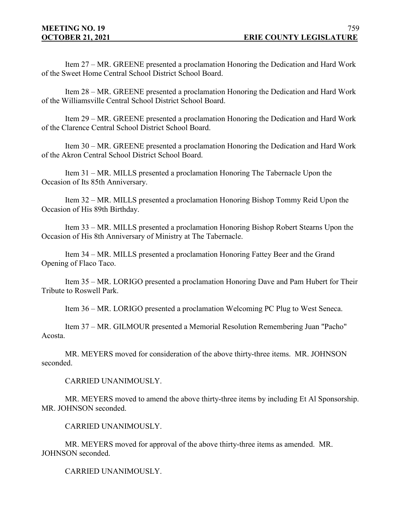Item 27 – MR. GREENE presented a proclamation Honoring the Dedication and Hard Work of the Sweet Home Central School District School Board.

Item 28 – MR. GREENE presented a proclamation Honoring the Dedication and Hard Work of the Williamsville Central School District School Board.

Item 29 – MR. GREENE presented a proclamation Honoring the Dedication and Hard Work of the Clarence Central School District School Board.

Item 30 – MR. GREENE presented a proclamation Honoring the Dedication and Hard Work of the Akron Central School District School Board.

Item 31 – MR. MILLS presented a proclamation Honoring The Tabernacle Upon the Occasion of Its 85th Anniversary.

Item 32 – MR. MILLS presented a proclamation Honoring Bishop Tommy Reid Upon the Occasion of His 89th Birthday.

Item 33 – MR. MILLS presented a proclamation Honoring Bishop Robert Stearns Upon the Occasion of His 8th Anniversary of Ministry at The Tabernacle.

Item 34 – MR. MILLS presented a proclamation Honoring Fattey Beer and the Grand Opening of Flaco Taco.

Item 35 – MR. LORIGO presented a proclamation Honoring Dave and Pam Hubert for Their Tribute to Roswell Park.

Item 36 – MR. LORIGO presented a proclamation Welcoming PC Plug to West Seneca.

Item 37 – MR. GILMOUR presented a Memorial Resolution Remembering Juan "Pacho" Acosta.

MR. MEYERS moved for consideration of the above thirty-three items. MR. JOHNSON seconded.

CARRIED UNANIMOUSLY.

MR. MEYERS moved to amend the above thirty-three items by including Et Al Sponsorship. MR. JOHNSON seconded.

CARRIED UNANIMOUSLY.

MR. MEYERS moved for approval of the above thirty-three items as amended. MR. JOHNSON seconded.

CARRIED UNANIMOUSLY.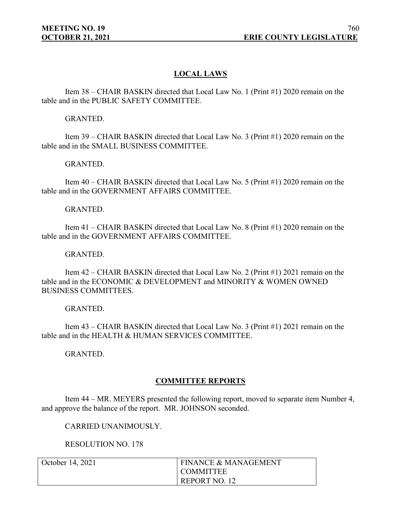# **LOCAL LAWS**

Item 38 – CHAIR BASKIN directed that Local Law No. 1 (Print #1) 2020 remain on the table and in the PUBLIC SAFETY COMMITTEE.

### GRANTED.

Item 39 – CHAIR BASKIN directed that Local Law No. 3 (Print #1) 2020 remain on the table and in the SMALL BUSINESS COMMITTEE.

#### GRANTED.

Item 40 – CHAIR BASKIN directed that Local Law No. 5 (Print #1) 2020 remain on the table and in the GOVERNMENT AFFAIRS COMMITTEE.

#### GRANTED.

Item 41 – CHAIR BASKIN directed that Local Law No. 8 (Print #1) 2020 remain on the table and in the GOVERNMENT AFFAIRS COMMITTEE.

#### GRANTED.

Item 42 – CHAIR BASKIN directed that Local Law No. 2 (Print #1) 2021 remain on the table and in the ECONOMIC & DEVELOPMENT and MINORITY & WOMEN OWNED BUSINESS COMMITTEES.

#### GRANTED.

Item 43 – CHAIR BASKIN directed that Local Law No. 3 (Print #1) 2021 remain on the table and in the HEALTH & HUMAN SERVICES COMMITTEE.

GRANTED.

#### **COMMITTEE REPORTS**

Item 44 – MR. MEYERS presented the following report, moved to separate item Number 4, and approve the balance of the report. MR. JOHNSON seconded.

CARRIED UNANIMOUSLY.

RESOLUTION NO. 178

| October 14, 2021 | <b>FINANCE &amp; MANAGEMENT</b> |
|------------------|---------------------------------|
|                  | <b>COMMITTEE</b>                |
|                  | REPORT NO. 12                   |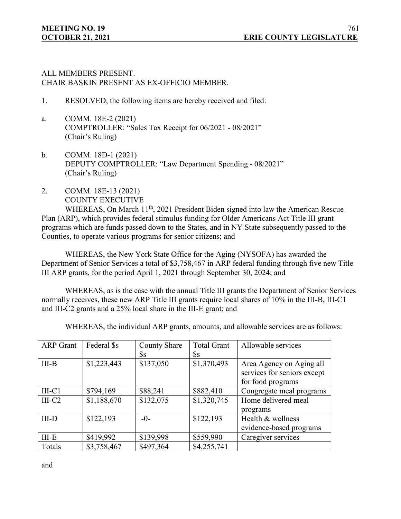# ALL MEMBERS PRESENT. CHAIR BASKIN PRESENT AS EX-OFFICIO MEMBER.

- 1. RESOLVED, the following items are hereby received and filed:
- a. COMM. 18E-2 (2021) COMPTROLLER: "Sales Tax Receipt for 06/2021 - 08/2021" (Chair's Ruling)
- b. COMM. 18D-1 (2021) DEPUTY COMPTROLLER: "Law Department Spending - 08/2021" (Chair's Ruling)
- 2. COMM. 18E-13 (2021) COUNTY EXECUTIVE

WHEREAS, On March 11<sup>th</sup>, 2021 President Biden signed into law the American Rescue Plan (ARP), which provides federal stimulus funding for Older Americans Act Title III grant programs which are funds passed down to the States, and in NY State subsequently passed to the Counties, to operate various programs for senior citizens; and

WHEREAS, the New York State Office for the Aging (NYSOFA) has awarded the Department of Senior Services a total of \$3,758,467 in ARP federal funding through five new Title III ARP grants, for the period April 1, 2021 through September 30, 2024; and

WHEREAS, as is the case with the annual Title III grants the Department of Senior Services normally receives, these new ARP Title III grants require local shares of 10% in the III-B, III-C1 and III-C2 grants and a 25% local share in the III-E grant; and

WHEREAS, the individual ARP grants, amounts, and allowable services are as follows:

| <b>ARP</b> Grant | Federal \$s | <b>County Share</b> | <b>Total Grant</b> | Allowable services          |
|------------------|-------------|---------------------|--------------------|-----------------------------|
|                  |             | $\mathbb{S}_S$      | $\mathbb{S}_S$     |                             |
| $III-B$          | \$1,223,443 | \$137,050           | \$1,370,493        | Area Agency on Aging all    |
|                  |             |                     |                    | services for seniors except |
|                  |             |                     |                    | for food programs           |
| $III-C1$         | \$794,169   | \$88,241            | \$882,410          | Congregate meal programs    |
| $III-C2$         | \$1,188,670 | \$132,075           | \$1,320,745        | Home delivered meal         |
|                  |             |                     |                    | programs                    |
| $III-D$          | \$122,193   | $-0-$               | \$122,193          | Health & wellness           |
|                  |             |                     |                    | evidence-based programs     |
| $III-E$          | \$419,992   | \$139,998           | \$559,990          | Caregiver services          |
| Totals           | \$3,758,467 | \$497,364           | \$4,255,741        |                             |

and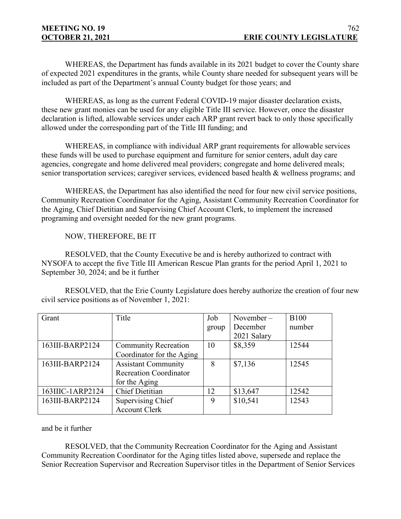WHEREAS, the Department has funds available in its 2021 budget to cover the County share of expected 2021 expenditures in the grants, while County share needed for subsequent years will be included as part of the Department's annual County budget for those years; and

WHEREAS, as long as the current Federal COVID-19 major disaster declaration exists, these new grant monies can be used for any eligible Title III service. However, once the disaster declaration is lifted, allowable services under each ARP grant revert back to only those specifically allowed under the corresponding part of the Title III funding; and

WHEREAS, in compliance with individual ARP grant requirements for allowable services these funds will be used to purchase equipment and furniture for senior centers, adult day care agencies, congregate and home delivered meal providers; congregate and home delivered meals; senior transportation services; caregiver services, evidenced based health & wellness programs; and

WHEREAS, the Department has also identified the need for four new civil service positions, Community Recreation Coordinator for the Aging, Assistant Community Recreation Coordinator for the Aging, Chief Dietitian and Supervising Chief Account Clerk, to implement the increased programing and oversight needed for the new grant programs.

## NOW, THEREFORE, BE IT

RESOLVED, that the County Executive be and is hereby authorized to contract with NYSOFA to accept the five Title III American Rescue Plan grants for the period April 1, 2021 to September 30, 2024; and be it further

RESOLVED, that the Erie County Legislature does hereby authorize the creation of four new civil service positions as of November 1, 2021:

| Grant            | Title                         | Job   | November-   | <b>B100</b> |
|------------------|-------------------------------|-------|-------------|-------------|
|                  |                               | group | December    | number      |
|                  |                               |       | 2021 Salary |             |
| 163III-BARP2124  | <b>Community Recreation</b>   | 10    | \$8,359     | 12544       |
|                  | Coordinator for the Aging     |       |             |             |
| 163III-BARP2124  | <b>Assistant Community</b>    | 8     | \$7,136     | 12545       |
|                  | <b>Recreation Coordinator</b> |       |             |             |
|                  | for the Aging                 |       |             |             |
| 163IIIC-1ARP2124 | <b>Chief Dietitian</b>        | 12    | \$13,647    | 12542       |
| 163III-BARP2124  | Supervising Chief             | 9     | \$10,541    | 12543       |
|                  | <b>Account Clerk</b>          |       |             |             |

#### and be it further

RESOLVED, that the Community Recreation Coordinator for the Aging and Assistant Community Recreation Coordinator for the Aging titles listed above, supersede and replace the Senior Recreation Supervisor and Recreation Supervisor titles in the Department of Senior Services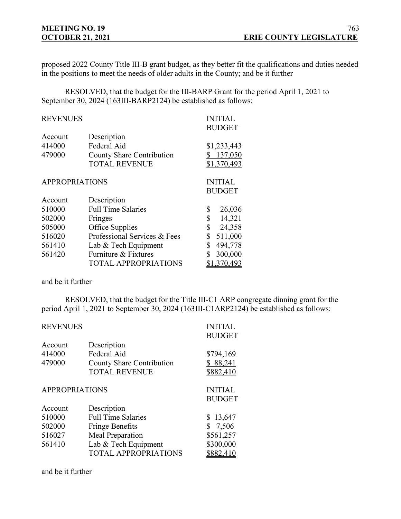proposed 2022 County Title III-B grant budget, as they better fit the qualifications and duties needed in the positions to meet the needs of older adults in the County; and be it further

RESOLVED, that the budget for the III-BARP Grant for the period April 1, 2021 to September 30, 2024 (163III-BARP2124) be established as follows:

| <b>REVENUES</b>       |                              | <b>INITIAL</b> |
|-----------------------|------------------------------|----------------|
|                       |                              | <b>BUDGET</b>  |
| Account               | Description                  |                |
| 414000                | Federal Aid                  | \$1,233,443    |
| 479000                | County Share Contribution    | 137,050<br>\$  |
|                       | <b>TOTAL REVENUE</b>         | \$1,370,493    |
| <b>APPROPRIATIONS</b> |                              | <b>INITIAL</b> |
|                       |                              | <b>BUDGET</b>  |
| Account               | Description                  |                |
| 510000                | <b>Full Time Salaries</b>    | \$<br>26,036   |
| 502000                | Fringes                      | \$<br>14,321   |
| 505000                | Office Supplies              | \$<br>24,358   |
| 516020                | Professional Services & Fees | \$<br>511,000  |
| 561410                | Lab & Tech Equipment         | \$<br>494,778  |
| 561420                | Furniture & Fixtures         | 300,000<br>\$  |
|                       | <b>TOTAL APPROPRIATIONS</b>  | \$1,370,493    |

and be it further

RESOLVED, that the budget for the Title III-C1 ARP congregate dinning grant for the period April 1, 2021 to September 30, 2024 (163III-C1ARP2124) be established as follows:

| <b>REVENUES</b>       |                             | <b>INITIAL</b>    |
|-----------------------|-----------------------------|-------------------|
|                       |                             | <b>BUDGET</b>     |
| Account               | Description                 |                   |
| 414000                | Federal Aid                 | \$794,169         |
| 479000                | County Share Contribution   | \$88,241          |
|                       | <b>TOTAL REVENUE</b>        | \$882,410         |
| <b>APPROPRIATIONS</b> |                             | <b>INITIAL</b>    |
|                       |                             | <b>BUDGET</b>     |
| Account               | Description                 |                   |
| 510000                | <b>Full Time Salaries</b>   | \$13,647          |
| 502000                | <b>Fringe Benefits</b>      | \$<br>7,506       |
| 516027                | Meal Preparation            | \$561,257         |
| 561410                | Lab & Tech Equipment        | \$300,000         |
|                       | <b>TOTAL APPROPRIATIONS</b> | \$8 <u>82,410</u> |
|                       |                             |                   |

and be it further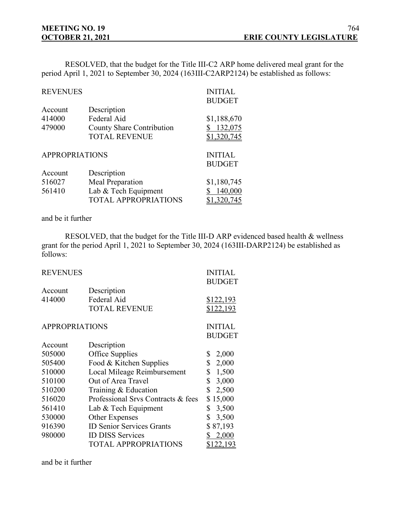RESOLVED, that the budget for the Title III-C2 ARP home delivered meal grant for the period April 1, 2021 to September 30, 2024 (163III-C2ARP2124) be established as follows:

| <b>REVENUES</b>       |                           | <b>INITIAL</b> |
|-----------------------|---------------------------|----------------|
|                       |                           | <b>BUDGET</b>  |
| Account               | Description               |                |
| 414000                | Federal Aid               | \$1,188,670    |
| 479000                | County Share Contribution | 132,075        |
|                       | <b>TOTAL REVENUE</b>      | \$1,320,745    |
| <b>APPROPRIATIONS</b> |                           | <b>INITIAL</b> |
|                       |                           | <b>BUDGET</b>  |
| Account               | Description               |                |
| 516027                | Meal Preparation          | \$1,180,745    |
| 561410                | Lab & Tech Equipment      | 140,000        |
|                       | TOTAL APPROPRIATIONS      | \$1,320,745    |

#### and be it further

RESOLVED, that the budget for the Title III-D ARP evidenced based health & wellness grant for the period April 1, 2021 to September 30, 2024 (163III-DARP2124) be established as follows:

| <b>REVENUES</b>       |                                    | <b>INITIAL</b>   |
|-----------------------|------------------------------------|------------------|
|                       |                                    | <b>BUDGET</b>    |
| Account               | Description                        |                  |
| 414000                | Federal Aid                        | \$122,193        |
|                       | <b>TOTAL REVENUE</b>               | \$122,193        |
| <b>APPROPRIATIONS</b> |                                    | <b>INITIAL</b>   |
|                       |                                    | <b>BUDGET</b>    |
| Account               | Description                        |                  |
| 505000                | Office Supplies                    | \$<br>2,000      |
| 505400                | Food & Kitchen Supplies            | \$<br>2,000      |
| 510000                | Local Mileage Reimbursement        | \$<br>1,500      |
| 510100                | Out of Area Travel                 | \$<br>3,000      |
| 510200                | Training & Education               | \$<br>2,500      |
| 516020                | Professional Srvs Contracts & fees | \$<br>15,000     |
| 561410                | Lab & Tech Equipment               | \$<br>3,500      |
| 530000                | Other Expenses                     | \$<br>3,500      |
| 916390                | <b>ID Senior Services Grants</b>   | \$87,193         |
| 980000                | <b>ID DISS Services</b>            | 2,000<br>\$      |
|                       | <b>TOTAL APPROPRIATIONS</b>        | <u>\$122,193</u> |

and be it further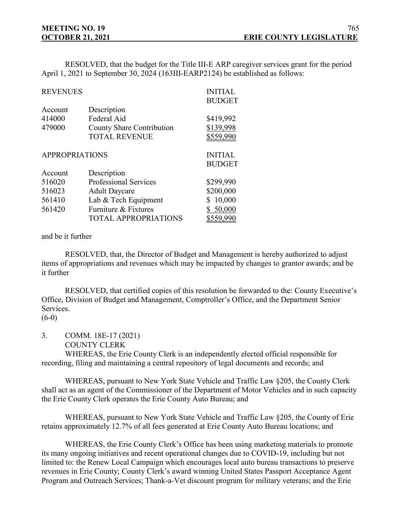RESOLVED, that the budget for the Title III-E ARP caregiver services grant for the period April 1, 2021 to September 30, 2024 (163III-EARP2124) be established as follows:

#### REVENUES INITIAL

|                       |                             | <b>BUDGET</b>  |
|-----------------------|-----------------------------|----------------|
| Account               | Description                 |                |
| 414000                | Federal Aid                 | \$419,992      |
| 479000                | County Share Contribution   | \$139,998      |
|                       | <b>TOTAL REVENUE</b>        | \$559,990      |
| <b>APPROPRIATIONS</b> |                             | <b>INITIAL</b> |
|                       |                             | <b>BUDGET</b>  |
| Account               | Description                 |                |
| 516020                | Professional Services       | \$299,990      |
| 516023                | <b>Adult Daycare</b>        | \$200,000      |
| 561410                | Lab & Tech Equipment        | 10,000         |
| 561420                | Furniture & Fixtures        | \$50,000       |
|                       | <b>TOTAL APPROPRIATIONS</b> | \$559,990      |

#### and be it further

RESOLVED, that, the Director of Budget and Management is hereby authorized to adjust items of appropriations and revenues which may be impacted by changes to grantor awards; and be it further

RESOLVED, that certified copies of this resolution be forwarded to the: County Executive's Office, Division of Budget and Management, Comptroller's Office, and the Department Senior Services.

# $(6-0)$

## 3. COMM. 18E-17 (2021)

#### COUNTY CLERK

WHEREAS, the Erie County Clerk is an independently elected official responsible for recording, filing and maintaining a central repository of legal documents and records; and

WHEREAS, pursuant to New York State Vehicle and Traffic Law §205, the County Clerk shall act as an agent of the Commissioner of the Department of Motor Vehicles and in such capacity the Erie County Clerk operates the Erie County Auto Bureau; and

WHEREAS, pursuant to New York State Vehicle and Traffic Law §205, the County of Erie retains approximately 12.7% of all fees generated at Erie County Auto Bureau locations; and

WHEREAS, the Erie County Clerk's Office has been using marketing materials to promote its many ongoing initiatives and recent operational changes due to COVID-19, including but not limited to: the Renew Local Campaign which encourages local auto bureau transactions to preserve revenues in Erie County; County Clerk's award winning United States Passport Acceptance Agent Program and Outreach Services; Thank-a-Vet discount program for military veterans; and the Erie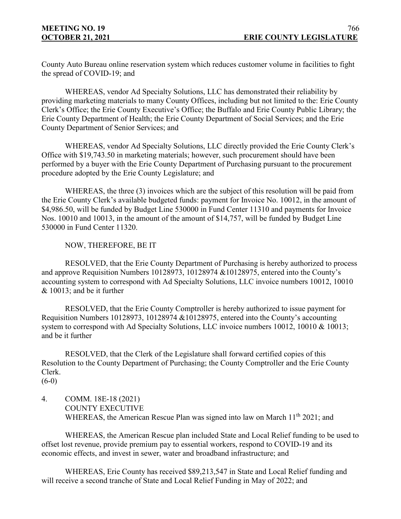County Auto Bureau online reservation system which reduces customer volume in facilities to fight the spread of COVID-19; and

WHEREAS, vendor Ad Specialty Solutions, LLC has demonstrated their reliability by providing marketing materials to many County Offices, including but not limited to the: Erie County Clerk's Office; the Erie County Executive's Office; the Buffalo and Erie County Public Library; the Erie County Department of Health; the Erie County Department of Social Services; and the Erie County Department of Senior Services; and

WHEREAS, vendor Ad Specialty Solutions, LLC directly provided the Erie County Clerk's Office with \$19,743.50 in marketing materials; however, such procurement should have been performed by a buyer with the Erie County Department of Purchasing pursuant to the procurement procedure adopted by the Erie County Legislature; and

WHEREAS, the three (3) invoices which are the subject of this resolution will be paid from the Erie County Clerk's available budgeted funds: payment for Invoice No. 10012, in the amount of \$4,986.50, will be funded by Budget Line 530000 in Fund Center 11310 and payments for Invoice Nos. 10010 and 10013, in the amount of the amount of \$14,757, will be funded by Budget Line 530000 in Fund Center 11320.

NOW, THEREFORE, BE IT

RESOLVED, that the Erie County Department of Purchasing is hereby authorized to process and approve Requisition Numbers 10128973, 10128974 &10128975, entered into the County's accounting system to correspond with Ad Specialty Solutions, LLC invoice numbers 10012, 10010 & 10013; and be it further

RESOLVED, that the Erie County Comptroller is hereby authorized to issue payment for Requisition Numbers 10128973, 10128974 &10128975, entered into the County's accounting system to correspond with Ad Specialty Solutions, LLC invoice numbers 10012, 10010 & 10013; and be it further

RESOLVED, that the Clerk of the Legislature shall forward certified copies of this Resolution to the County Department of Purchasing; the County Comptroller and the Erie County Clerk.

 $(6-0)$ 

4. COMM. 18E-18 (2021) COUNTY EXECUTIVE WHEREAS, the American Rescue Plan was signed into law on March 11<sup>th</sup> 2021; and

WHEREAS, the American Rescue plan included State and Local Relief funding to be used to offset lost revenue, provide premium pay to essential workers, respond to COVID-19 and its economic effects, and invest in sewer, water and broadband infrastructure; and

WHEREAS, Erie County has received \$89,213,547 in State and Local Relief funding and will receive a second tranche of State and Local Relief Funding in May of 2022; and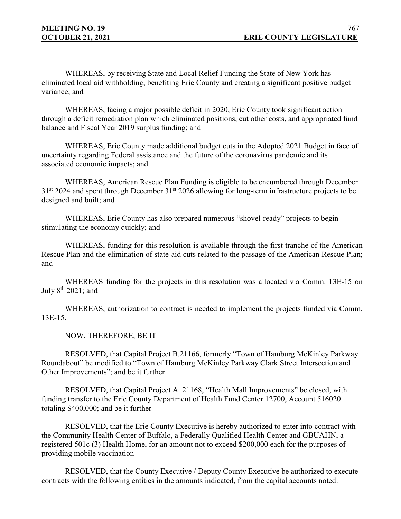WHEREAS, by receiving State and Local Relief Funding the State of New York has eliminated local aid withholding, benefiting Erie County and creating a significant positive budget variance; and

WHEREAS, facing a major possible deficit in 2020, Erie County took significant action through a deficit remediation plan which eliminated positions, cut other costs, and appropriated fund balance and Fiscal Year 2019 surplus funding; and

WHEREAS, Erie County made additional budget cuts in the Adopted 2021 Budget in face of uncertainty regarding Federal assistance and the future of the coronavirus pandemic and its associated economic impacts; and

WHEREAS, American Rescue Plan Funding is eligible to be encumbered through December  $31<sup>st</sup>$  2024 and spent through December  $31<sup>st</sup>$  2026 allowing for long-term infrastructure projects to be designed and built; and

WHEREAS, Erie County has also prepared numerous "shovel-ready" projects to begin stimulating the economy quickly; and

WHEREAS, funding for this resolution is available through the first tranche of the American Rescue Plan and the elimination of state-aid cuts related to the passage of the American Rescue Plan; and

WHEREAS funding for the projects in this resolution was allocated via Comm. 13E-15 on July 8th 2021; and

WHEREAS, authorization to contract is needed to implement the projects funded via Comm. 13E-15.

## NOW, THEREFORE, BE IT

RESOLVED, that Capital Project B.21166, formerly "Town of Hamburg McKinley Parkway Roundabout" be modified to "Town of Hamburg McKinley Parkway Clark Street Intersection and Other Improvements"; and be it further

RESOLVED, that Capital Project A. 21168, "Health Mall Improvements" be closed, with funding transfer to the Erie County Department of Health Fund Center 12700, Account 516020 totaling \$400,000; and be it further

RESOLVED, that the Erie County Executive is hereby authorized to enter into contract with the Community Health Center of Buffalo, a Federally Qualified Health Center and GBUAHN, a registered 501c (3) Health Home, for an amount not to exceed \$200,000 each for the purposes of providing mobile vaccination

RESOLVED, that the County Executive / Deputy County Executive be authorized to execute contracts with the following entities in the amounts indicated, from the capital accounts noted: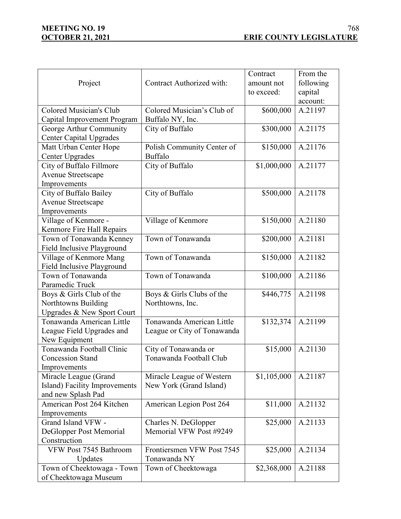# **MEETING NO. 19<br>
<u>OCTOBER 21, 2021</u>**

|                                |                             | Contract    | From the  |
|--------------------------------|-----------------------------|-------------|-----------|
| Project                        | Contract Authorized with:   | amount not  | following |
|                                |                             | to exceed:  | capital   |
|                                |                             |             | account:  |
| Colored Musician's Club        | Colored Musician's Club of  | \$600,000   | A.21197   |
| Capital Improvement Program    | Buffalo NY, Inc.            |             |           |
| George Arthur Community        | City of Buffalo             | \$300,000   | A.21175   |
| <b>Center Capital Upgrades</b> |                             |             |           |
| Matt Urban Center Hope         | Polish Community Center of  | \$150,000   | A.21176   |
| <b>Center Upgrades</b>         | <b>Buffalo</b>              |             |           |
| City of Buffalo Fillmore       | City of Buffalo             | \$1,000,000 | A.21177   |
| Avenue Streetscape             |                             |             |           |
| Improvements                   |                             |             |           |
| City of Buffalo Bailey         | City of Buffalo             | \$500,000   | A.21178   |
| Avenue Streetscape             |                             |             |           |
| Improvements                   |                             |             |           |
| Village of Kenmore -           | Village of Kenmore          | \$150,000   | A.21180   |
| Kenmore Fire Hall Repairs      |                             |             |           |
| Town of Tonawanda Kenney       | Town of Tonawanda           | \$200,000   | A.21181   |
| Field Inclusive Playground     |                             |             |           |
| Village of Kenmore Mang        | Town of Tonawanda           | \$150,000   | A.21182   |
| Field Inclusive Playground     |                             |             |           |
| Town of Tonawanda              | Town of Tonawanda           | \$100,000   | A.21186   |
| Paramedic Truck                |                             |             |           |
| Boys & Girls Club of the       | Boys & Girls Clubs of the   | \$446,775   | A.21198   |
| Northtowns Building            | Northtowns, Inc.            |             |           |
| Upgrades & New Sport Court     |                             |             |           |
| Tonawanda American Little      | Tonawanda American Little   | \$132,374   | A.21199   |
| League Field Upgrades and      | League or City of Tonawanda |             |           |
| New Equipment                  |                             |             |           |
| Tonawanda Football Clinic      | City of Tonawanda or        | \$15,000    | A.21130   |
| <b>Concession Stand</b>        | Tonawanda Football Club     |             |           |
| Improvements                   |                             |             |           |
| Miracle League (Grand          | Miracle League of Western   | \$1,105,000 | A.21187   |
| Island) Facility Improvements  | New York (Grand Island)     |             |           |
| and new Splash Pad             |                             |             |           |
| American Post 264 Kitchen      | American Legion Post 264    | \$11,000    | A.21132   |
| Improvements                   |                             |             |           |
| Grand Island VFW -             | Charles N. DeGlopper        | \$25,000    | A.21133   |
| DeGlopper Post Memorial        | Memorial VFW Post #9249     |             |           |
| Construction                   |                             |             |           |
| VFW Post 7545 Bathroom         | Frontiersmen VFW Post 7545  | \$25,000    | A.21134   |
| Updates                        | Tonawanda NY                |             |           |
| Town of Cheektowaga - Town     | Town of Cheektowaga         | \$2,368,000 | A.21188   |
| of Cheektowaga Museum          |                             |             |           |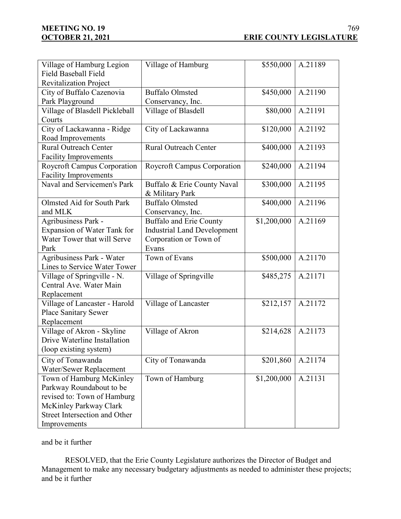| Village of Hamburg Legion<br>Field Baseball Field       | Village of Hamburg                 | \$550,000   | A.21189 |
|---------------------------------------------------------|------------------------------------|-------------|---------|
| <b>Revitalization Project</b>                           |                                    |             |         |
| City of Buffalo Cazenovia                               | <b>Buffalo Olmsted</b>             | \$450,000   | A.21190 |
| Park Playground                                         | Conservancy, Inc.                  |             |         |
| Village of Blasdell Pickleball                          | Village of Blasdell                | \$80,000    | A.21191 |
| Courts                                                  |                                    |             |         |
| City of Lackawanna - Ridge                              | City of Lackawanna                 | \$120,000   | A.21192 |
| Road Improvements                                       |                                    |             |         |
| <b>Rural Outreach Center</b>                            | <b>Rural Outreach Center</b>       | \$400,000   | A.21193 |
| <b>Facility Improvements</b>                            |                                    |             |         |
| Roycroft Campus Corporation                             | <b>Roycroft Campus Corporation</b> | \$240,000   | A.21194 |
| <b>Facility Improvements</b>                            |                                    |             |         |
| Naval and Servicemen's Park                             | Buffalo & Erie County Naval        | \$300,000   | A.21195 |
|                                                         | & Military Park                    |             |         |
| Olmsted Aid for South Park                              | <b>Buffalo Olmsted</b>             | \$400,000   | A.21196 |
| and MLK                                                 | Conservancy, Inc.                  |             |         |
| Agribusiness Park -                                     | <b>Buffalo and Erie County</b>     | \$1,200,000 | A.21169 |
| Expansion of Water Tank for                             | <b>Industrial Land Development</b> |             |         |
| Water Tower that will Serve                             | Corporation or Town of             |             |         |
| Park                                                    | Evans                              |             |         |
| Agribusiness Park - Water                               | Town of Evans                      | \$500,000   | A.21170 |
| Lines to Service Water Tower                            |                                    |             |         |
| Village of Springville - N.                             | Village of Springville             | \$485,275   | A.21171 |
| Central Ave. Water Main                                 |                                    |             |         |
| Replacement                                             |                                    |             |         |
| Village of Lancaster - Harold                           | Village of Lancaster               | \$212,157   | A.21172 |
| Place Sanitary Sewer                                    |                                    |             |         |
| Replacement                                             |                                    |             |         |
| Village of Akron - Skyline                              | Village of Akron                   | \$214,628   | A.21173 |
| Drive Waterline Installation                            |                                    |             |         |
| (loop existing system)                                  |                                    |             |         |
| City of Tonawanda                                       | City of Tonawanda                  | \$201,860   | A.21174 |
| Water/Sewer Replacement                                 |                                    |             |         |
| Town of Hamburg McKinley                                | Town of Hamburg                    | \$1,200,000 | A.21131 |
| Parkway Roundabout to be                                |                                    |             |         |
|                                                         |                                    |             |         |
|                                                         |                                    |             |         |
| revised to: Town of Hamburg                             |                                    |             |         |
| McKinley Parkway Clark<br>Street Intersection and Other |                                    |             |         |

and be it further

RESOLVED, that the Erie County Legislature authorizes the Director of Budget and Management to make any necessary budgetary adjustments as needed to administer these projects; and be it further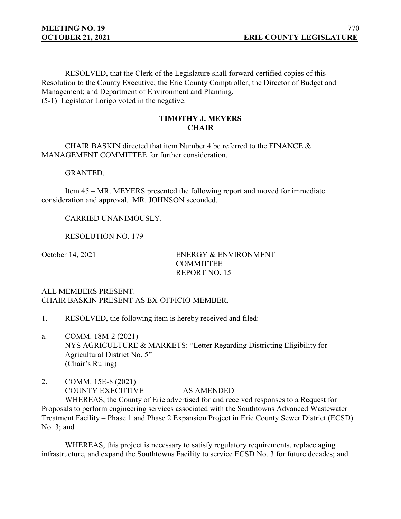RESOLVED, that the Clerk of the Legislature shall forward certified copies of this Resolution to the County Executive; the Erie County Comptroller; the Director of Budget and Management; and Department of Environment and Planning. (5-1) Legislator Lorigo voted in the negative.

#### **TIMOTHY J. MEYERS CHAIR**

CHAIR BASKIN directed that item Number 4 be referred to the FINANCE & MANAGEMENT COMMITTEE for further consideration.

#### GRANTED.

Item 45 – MR. MEYERS presented the following report and moved for immediate consideration and approval. MR. JOHNSON seconded.

#### CARRIED UNANIMOUSLY.

RESOLUTION NO. 179

|                  | <b>ENERGY &amp; ENVIRONMENT</b> |
|------------------|---------------------------------|
| October 14, 2021 |                                 |
|                  | <b>COMMITTEE</b>                |
|                  | <b>REPORT NO. 15</b>            |

# ALL MEMBERS PRESENT. CHAIR BASKIN PRESENT AS EX-OFFICIO MEMBER.

- 1. RESOLVED, the following item is hereby received and filed:
- a. COMM. 18M-2 (2021) NYS AGRICULTURE & MARKETS: "Letter Regarding Districting Eligibility for Agricultural District No. 5" (Chair's Ruling)
- 2. COMM. 15E-8 (2021) COUNTY EXECUTIVE AS AMENDED

WHEREAS, the County of Erie advertised for and received responses to a Request for Proposals to perform engineering services associated with the Southtowns Advanced Wastewater Treatment Facility – Phase 1 and Phase 2 Expansion Project in Erie County Sewer District (ECSD) No. 3; and

WHEREAS, this project is necessary to satisfy regulatory requirements, replace aging infrastructure, and expand the Southtowns Facility to service ECSD No. 3 for future decades; and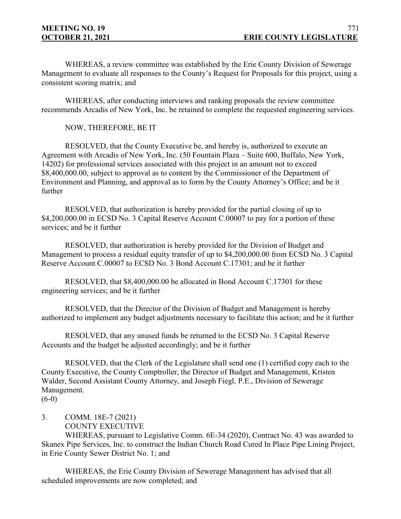WHEREAS, a review committee was established by the Erie County Division of Sewerage Management to evaluate all responses to the County's Request for Proposals for this project, using a consistent scoring matrix; and

WHEREAS, after conducting interviews and ranking proposals the review committee recommends Arcadis of New York, Inc. be retained to complete the requested engineering services.

NOW, THEREFORE, BE IT

RESOLVED, that the County Executive be, and hereby is, authorized to execute an Agreement with Arcadis of New York, Inc. (50 Fountain Plaza – Suite 600, Buffalo, New York, 14202) for professional services associated with this project in an amount not to exceed \$8,400,000.00, subject to approval as to content by the Commissioner of the Department of Environment and Planning, and approval as to form by the County Attorney's Office; and be it further

RESOLVED, that authorization is hereby provided for the partial closing of up to \$4,200,000.00 in ECSD No. 3 Capital Reserve Account C.00007 to pay for a portion of these services; and be it further

RESOLVED, that authorization is hereby provided for the Division of Budget and Management to process a residual equity transfer of up to \$4,200,000.00 from ECSD No. 3 Capital Reserve Account C.00007 to ECSD No. 3 Bond Account C.17301; and be it further

RESOLVED, that \$8,400,000.00 be allocated in Bond Account C.17301 for these engineering services; and be it further

RESOLVED, that the Director of the Division of Budget and Management is hereby authorized to implement any budget adjustments necessary to facilitate this action; and be it further

RESOLVED, that any unused funds be returned to the ECSD No. 3 Capital Reserve Accounts and the budget be adjusted accordingly; and be it further

RESOLVED, that the Clerk of the Legislature shall send one (1) certified copy each to the County Executive, the County Comptroller, the Director of Budget and Management, Kristen Walder, Second Assistant County Attorney, and Joseph Fiegl, P.E., Division of Sewerage Management.

 $(6-0)$ 

3. COMM. 18E-7 (2021) COUNTY EXECUTIVE

WHEREAS, pursuant to Legislative Comm. 6E-34 (2020), Contract No. 43 was awarded to Skanex Pipe Services, Inc. to construct the Indian Church Road Cured In Place Pipe Lining Project, in Erie County Sewer District No. 1; and

WHEREAS, the Erie County Division of Sewerage Management has advised that all scheduled improvements are now completed; and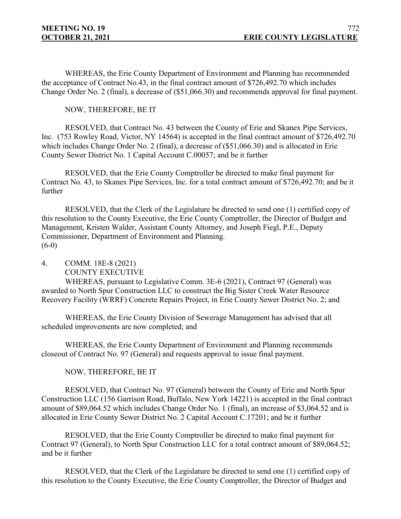WHEREAS, the Erie County Department of Environment and Planning has recommended the acceptance of Contract No.43, in the final contract amount of \$726,492.70 which includes Change Order No. 2 (final), a decrease of (\$51,066.30) and recommends approval for final payment.

NOW, THEREFORE, BE IT

RESOLVED, that Contract No. 43 between the County of Erie and Skanex Pipe Services, Inc. (753 Rowley Road, Victor, NY 14564) is accepted in the final contract amount of \$726,492.70 which includes Change Order No. 2 (final), a decrease of (\$51,066.30) and is allocated in Erie County Sewer District No. 1 Capital Account C.00057; and be it further

RESOLVED, that the Erie County Comptroller be directed to make final payment for Contract No. 43, to Skanex Pipe Services, Inc. for a total contract amount of \$726,492.70; and be it further

RESOLVED, that the Clerk of the Legislature be directed to send one (1) certified copy of this resolution to the County Executive, the Erie County Comptroller, the Director of Budget and Management, Kristen Walder, Assistant County Attorney, and Joseph Fiegl, P.E., Deputy Commissioner, Department of Environment and Planning.  $(6-0)$ 

4. COMM. 18E-8 (2021) COUNTY EXECUTIVE

WHEREAS, pursuant to Legislative Comm. 3E-6 (2021), Contract 97 (General) was awarded to North Spur Construction LLC to construct the Big Sister Creek Water Resource Recovery Facility (WRRF) Concrete Repairs Project, in Erie County Sewer District No. 2; and

WHEREAS, the Erie County Division of Sewerage Management has advised that all scheduled improvements are now completed; and

WHEREAS, the Erie County Department of Environment and Planning recommends closeout of Contract No. 97 (General) and requests approval to issue final payment.

NOW, THEREFORE, BE IT

RESOLVED, that Contract No. 97 (General) between the County of Erie and North Spur Construction LLC (156 Garrison Road, Buffalo, New York 14221) is accepted in the final contract amount of \$89,064.52 which includes Change Order No. 1 (final), an increase of \$3,064.52 and is allocated in Erie County Sewer District No. 2 Capital Account C.17201; and be it further

RESOLVED, that the Erie County Comptroller be directed to make final payment for Contract 97 (General), to North Spur Construction LLC for a total contract amount of \$89,064.52; and be it further

RESOLVED, that the Clerk of the Legislature be directed to send one (1) certified copy of this resolution to the County Executive, the Erie County Comptroller, the Director of Budget and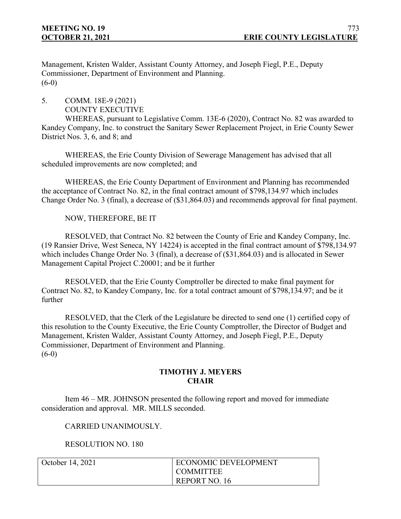Management, Kristen Walder, Assistant County Attorney, and Joseph Fiegl, P.E., Deputy Commissioner, Department of Environment and Planning.  $(6-0)$ 

5. COMM. 18E-9 (2021) COUNTY EXECUTIVE

WHEREAS, pursuant to Legislative Comm. 13E-6 (2020), Contract No. 82 was awarded to Kandey Company, Inc. to construct the Sanitary Sewer Replacement Project, in Erie County Sewer District Nos. 3, 6, and 8; and

WHEREAS, the Erie County Division of Sewerage Management has advised that all scheduled improvements are now completed; and

WHEREAS, the Erie County Department of Environment and Planning has recommended the acceptance of Contract No. 82, in the final contract amount of \$798,134.97 which includes Change Order No. 3 (final), a decrease of (\$31,864.03) and recommends approval for final payment.

NOW, THEREFORE, BE IT

RESOLVED, that Contract No. 82 between the County of Erie and Kandey Company, Inc. (19 Ransier Drive, West Seneca, NY 14224) is accepted in the final contract amount of \$798,134.97 which includes Change Order No. 3 (final), a decrease of (\$31,864.03) and is allocated in Sewer Management Capital Project C.20001; and be it further

RESOLVED, that the Erie County Comptroller be directed to make final payment for Contract No. 82, to Kandey Company, Inc. for a total contract amount of \$798,134.97; and be it further

RESOLVED, that the Clerk of the Legislature be directed to send one (1) certified copy of this resolution to the County Executive, the Erie County Comptroller, the Director of Budget and Management, Kristen Walder, Assistant County Attorney, and Joseph Fiegl, P.E., Deputy Commissioner, Department of Environment and Planning.  $(6-0)$ 

## **TIMOTHY J. MEYERS CHAIR**

Item 46 – MR. JOHNSON presented the following report and moved for immediate consideration and approval. MR. MILLS seconded.

CARRIED UNANIMOUSLY.

RESOLUTION NO. 180

| October 14, 2021 | <b>ECONOMIC DEVELOPMENT</b> |
|------------------|-----------------------------|
|                  | <b>COMMITTEE</b>            |
|                  | <b>REPORT NO. 16</b>        |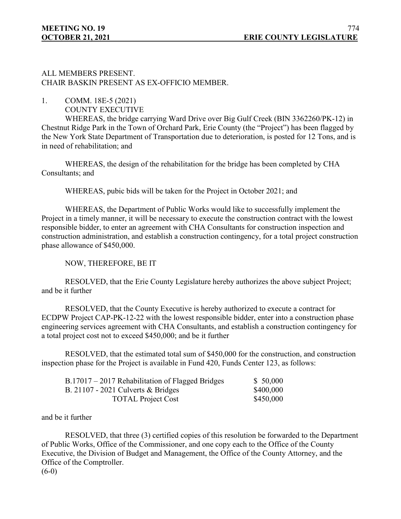## ALL MEMBERS PRESENT. CHAIR BASKIN PRESENT AS EX-OFFICIO MEMBER.

1. COMM. 18E-5 (2021) COUNTY EXECUTIVE

WHEREAS, the bridge carrying Ward Drive over Big Gulf Creek (BIN 3362260/PK-12) in Chestnut Ridge Park in the Town of Orchard Park, Erie County (the "Project") has been flagged by the New York State Department of Transportation due to deterioration, is posted for 12 Tons, and is in need of rehabilitation; and

WHEREAS, the design of the rehabilitation for the bridge has been completed by CHA Consultants; and

WHEREAS, pubic bids will be taken for the Project in October 2021; and

WHEREAS, the Department of Public Works would like to successfully implement the Project in a timely manner, it will be necessary to execute the construction contract with the lowest responsible bidder, to enter an agreement with CHA Consultants for construction inspection and construction administration, and establish a construction contingency, for a total project construction phase allowance of \$450,000.

NOW, THEREFORE, BE IT

RESOLVED, that the Erie County Legislature hereby authorizes the above subject Project; and be it further

RESOLVED, that the County Executive is hereby authorized to execute a contract for ECDPW Project CAP-PK-12-22 with the lowest responsible bidder, enter into a construction phase engineering services agreement with CHA Consultants, and establish a construction contingency for a total project cost not to exceed \$450,000; and be it further

RESOLVED, that the estimated total sum of \$450,000 for the construction, and construction inspection phase for the Project is available in Fund 420, Funds Center 123, as follows:

| B.17017 – 2017 Rehabilitation of Flagged Bridges | \$50,000  |
|--------------------------------------------------|-----------|
| B. $21107 - 2021$ Culverts & Bridges             | \$400,000 |
| <b>TOTAL Project Cost</b>                        | \$450,000 |

#### and be it further

RESOLVED, that three (3) certified copies of this resolution be forwarded to the Department of Public Works, Office of the Commissioner, and one copy each to the Office of the County Executive, the Division of Budget and Management, the Office of the County Attorney, and the Office of the Comptroller.  $(6-0)$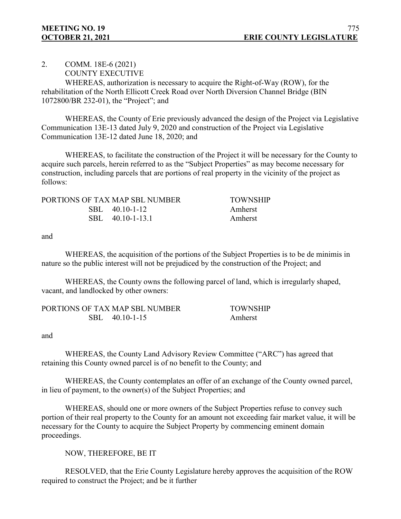2. COMM. 18E-6 (2021)

COUNTY EXECUTIVE

WHEREAS, authorization is necessary to acquire the Right-of-Way (ROW), for the rehabilitation of the North Ellicott Creek Road over North Diversion Channel Bridge (BIN 1072800/BR 232-01), the "Project"; and

WHEREAS, the County of Erie previously advanced the design of the Project via Legislative Communication 13E-13 dated July 9, 2020 and construction of the Project via Legislative Communication 13E-12 dated June 18, 2020; and

WHEREAS, to facilitate the construction of the Project it will be necessary for the County to acquire such parcels, herein referred to as the "Subject Properties" as may become necessary for construction, including parcels that are portions of real property in the vicinity of the project as follows:

| PORTIONS OF TAX MAP SBL NUMBER | <b>TOWNSHIP</b> |
|--------------------------------|-----------------|
| SBL 40.10-1-12                 | Amherst         |
| SBL 40.10-1-13.1               | Amherst         |

and

WHEREAS, the acquisition of the portions of the Subject Properties is to be de minimis in nature so the public interest will not be prejudiced by the construction of the Project; and

WHEREAS, the County owns the following parcel of land, which is irregularly shaped, vacant, and landlocked by other owners:

| PORTIONS OF TAX MAP SBL NUMBER | <b>TOWNSHIP</b> |
|--------------------------------|-----------------|
| SBL 40.10-1-15                 | Amherst         |

and

WHEREAS, the County Land Advisory Review Committee ("ARC") has agreed that retaining this County owned parcel is of no benefit to the County; and

WHEREAS, the County contemplates an offer of an exchange of the County owned parcel, in lieu of payment, to the owner(s) of the Subject Properties; and

WHEREAS, should one or more owners of the Subject Properties refuse to convey such portion of their real property to the County for an amount not exceeding fair market value, it will be necessary for the County to acquire the Subject Property by commencing eminent domain proceedings.

NOW, THEREFORE, BE IT

RESOLVED, that the Erie County Legislature hereby approves the acquisition of the ROW required to construct the Project; and be it further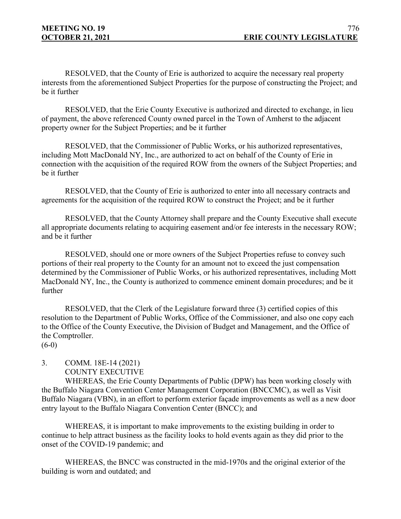RESOLVED, that the County of Erie is authorized to acquire the necessary real property interests from the aforementioned Subject Properties for the purpose of constructing the Project; and be it further

RESOLVED, that the Erie County Executive is authorized and directed to exchange, in lieu of payment, the above referenced County owned parcel in the Town of Amherst to the adjacent property owner for the Subject Properties; and be it further

RESOLVED, that the Commissioner of Public Works, or his authorized representatives, including Mott MacDonald NY, Inc., are authorized to act on behalf of the County of Erie in connection with the acquisition of the required ROW from the owners of the Subject Properties; and be it further

RESOLVED, that the County of Erie is authorized to enter into all necessary contracts and agreements for the acquisition of the required ROW to construct the Project; and be it further

RESOLVED, that the County Attorney shall prepare and the County Executive shall execute all appropriate documents relating to acquiring easement and/or fee interests in the necessary ROW; and be it further

RESOLVED, should one or more owners of the Subject Properties refuse to convey such portions of their real property to the County for an amount not to exceed the just compensation determined by the Commissioner of Public Works, or his authorized representatives, including Mott MacDonald NY, Inc., the County is authorized to commence eminent domain procedures; and be it further

RESOLVED, that the Clerk of the Legislature forward three (3) certified copies of this resolution to the Department of Public Works, Office of the Commissioner, and also one copy each to the Office of the County Executive, the Division of Budget and Management, and the Office of the Comptroller.

 $(6-0)$ 

# 3. COMM. 18E-14 (2021) COUNTY EXECUTIVE

WHEREAS, the Erie County Departments of Public (DPW) has been working closely with the Buffalo Niagara Convention Center Management Corporation (BNCCMC), as well as Visit Buffalo Niagara (VBN), in an effort to perform exterior façade improvements as well as a new door entry layout to the Buffalo Niagara Convention Center (BNCC); and

WHEREAS, it is important to make improvements to the existing building in order to continue to help attract business as the facility looks to hold events again as they did prior to the onset of the COVID-19 pandemic; and

WHEREAS, the BNCC was constructed in the mid-1970s and the original exterior of the building is worn and outdated; and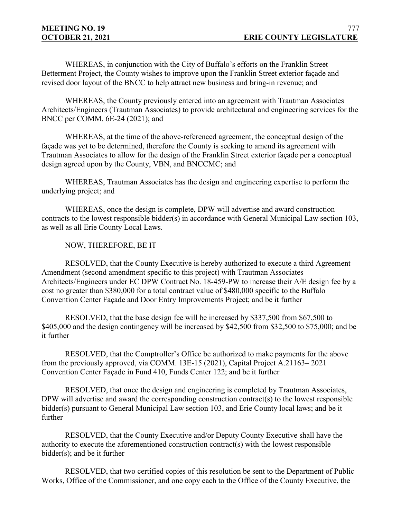WHEREAS, in conjunction with the City of Buffalo's efforts on the Franklin Street Betterment Project, the County wishes to improve upon the Franklin Street exterior façade and revised door layout of the BNCC to help attract new business and bring-in revenue; and

WHEREAS, the County previously entered into an agreement with Trautman Associates Architects/Engineers (Trautman Associates) to provide architectural and engineering services for the BNCC per COMM. 6E-24 (2021); and

WHEREAS, at the time of the above-referenced agreement, the conceptual design of the façade was yet to be determined, therefore the County is seeking to amend its agreement with Trautman Associates to allow for the design of the Franklin Street exterior façade per a conceptual design agreed upon by the County, VBN, and BNCCMC; and

WHEREAS, Trautman Associates has the design and engineering expertise to perform the underlying project; and

WHEREAS, once the design is complete, DPW will advertise and award construction contracts to the lowest responsible bidder(s) in accordance with General Municipal Law section 103, as well as all Erie County Local Laws.

NOW, THEREFORE, BE IT

RESOLVED, that the County Executive is hereby authorized to execute a third Agreement Amendment (second amendment specific to this project) with Trautman Associates Architects/Engineers under EC DPW Contract No. 18-459-PW to increase their A/E design fee by a cost no greater than \$380,000 for a total contract value of \$480,000 specific to the Buffalo Convention Center Façade and Door Entry Improvements Project; and be it further

RESOLVED, that the base design fee will be increased by \$337,500 from \$67,500 to \$405,000 and the design contingency will be increased by \$42,500 from \$32,500 to \$75,000; and be it further

RESOLVED, that the Comptroller's Office be authorized to make payments for the above from the previously approved, via COMM. 13E-15 (2021), Capital Project A.21163– 2021 Convention Center Façade in Fund 410, Funds Center 122; and be it further

RESOLVED, that once the design and engineering is completed by Trautman Associates, DPW will advertise and award the corresponding construction contract(s) to the lowest responsible bidder(s) pursuant to General Municipal Law section 103, and Erie County local laws; and be it further

RESOLVED, that the County Executive and/or Deputy County Executive shall have the authority to execute the aforementioned construction contract(s) with the lowest responsible bidder(s); and be it further

RESOLVED, that two certified copies of this resolution be sent to the Department of Public Works, Office of the Commissioner, and one copy each to the Office of the County Executive, the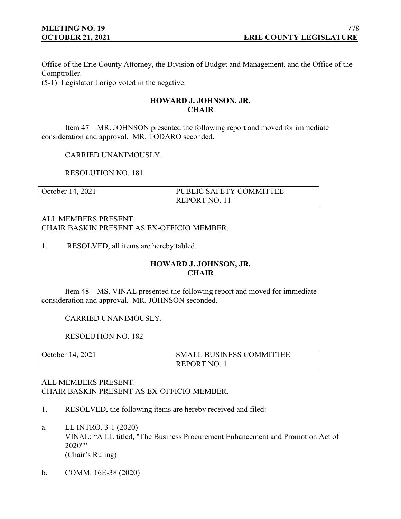Office of the Erie County Attorney, the Division of Budget and Management, and the Office of the Comptroller.

(5-1) Legislator Lorigo voted in the negative.

# **HOWARD J. JOHNSON, JR. CHAIR**

Item 47 – MR. JOHNSON presented the following report and moved for immediate consideration and approval. MR. TODARO seconded.

CARRIED UNANIMOUSLY.

RESOLUTION NO. 181

| October 14, 2021 | PUBLIC SAFETY COMMITTEE |
|------------------|-------------------------|
|                  | REPORT NO. 11           |

ALL MEMBERS PRESENT. CHAIR BASKIN PRESENT AS EX-OFFICIO MEMBER.

1. RESOLVED, all items are hereby tabled.

# **HOWARD J. JOHNSON, JR. CHAIR**

Item 48 – MS. VINAL presented the following report and moved for immediate consideration and approval. MR. JOHNSON seconded.

CARRIED UNANIMOUSLY.

RESOLUTION NO. 182

| October 14, 2021 | <b>SMALL BUSINESS COMMITTEE</b> |
|------------------|---------------------------------|
|                  | REPORT NO.                      |

# ALL MEMBERS PRESENT. CHAIR BASKIN PRESENT AS EX-OFFICIO MEMBER.

- 1. RESOLVED, the following items are hereby received and filed:
- a. LL INTRO. 3-1 (2020) VINAL: "A LL titled, "The Business Procurement Enhancement and Promotion Act of 2020"" (Chair's Ruling)
- b. COMM. 16E-38 (2020)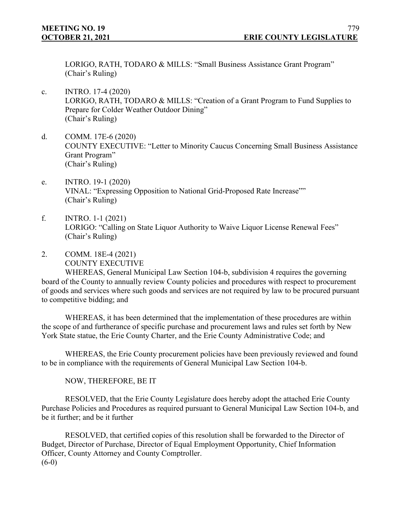LORIGO, RATH, TODARO & MILLS: "Small Business Assistance Grant Program" (Chair's Ruling)

- c. INTRO. 17-4 (2020) LORIGO, RATH, TODARO & MILLS: "Creation of a Grant Program to Fund Supplies to Prepare for Colder Weather Outdoor Dining" (Chair's Ruling)
- d. COMM. 17E-6 (2020) COUNTY EXECUTIVE: "Letter to Minority Caucus Concerning Small Business Assistance Grant Program" (Chair's Ruling)
- e. INTRO. 19-1 (2020) VINAL: "Expressing Opposition to National Grid-Proposed Rate Increase"" (Chair's Ruling)
- f. INTRO. 1-1 (2021) LORIGO: "Calling on State Liquor Authority to Waive Liquor License Renewal Fees" (Chair's Ruling)
- 2. COMM. 18E-4 (2021) COUNTY EXECUTIVE

WHEREAS, General Municipal Law Section 104-b, subdivision 4 requires the governing board of the County to annually review County policies and procedures with respect to procurement of goods and services where such goods and services are not required by law to be procured pursuant to competitive bidding; and

WHEREAS, it has been determined that the implementation of these procedures are within the scope of and furtherance of specific purchase and procurement laws and rules set forth by New York State statue, the Erie County Charter, and the Erie County Administrative Code; and

WHEREAS, the Erie County procurement policies have been previously reviewed and found to be in compliance with the requirements of General Municipal Law Section 104-b.

NOW, THEREFORE, BE IT

RESOLVED, that the Erie County Legislature does hereby adopt the attached Erie County Purchase Policies and Procedures as required pursuant to General Municipal Law Section 104-b, and be it further; and be it further

RESOLVED, that certified copies of this resolution shall be forwarded to the Director of Budget, Director of Purchase, Director of Equal Employment Opportunity, Chief Information Officer, County Attorney and County Comptroller.  $(6-0)$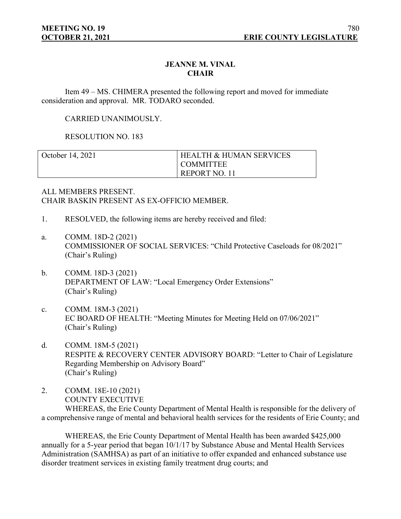## **JEANNE M. VINAL CHAIR**

Item 49 – MS. CHIMERA presented the following report and moved for immediate consideration and approval. MR. TODARO seconded.

## CARRIED UNANIMOUSLY.

## RESOLUTION NO. 183

| October 14, 2021 | <b>HEALTH &amp; HUMAN SERVICES</b> |
|------------------|------------------------------------|
|                  | <b>COMMITTEE</b>                   |
|                  | REPORT NO. 11                      |

ALL MEMBERS PRESENT. CHAIR BASKIN PRESENT AS EX-OFFICIO MEMBER.

- 1. RESOLVED, the following items are hereby received and filed:
- a. COMM. 18D-2 (2021) COMMISSIONER OF SOCIAL SERVICES: "Child Protective Caseloads for 08/2021" (Chair's Ruling)
- b. COMM. 18D-3 (2021) DEPARTMENT OF LAW: "Local Emergency Order Extensions" (Chair's Ruling)
- c. COMM. 18M-3 (2021) EC BOARD OF HEALTH: "Meeting Minutes for Meeting Held on 07/06/2021" (Chair's Ruling)
- d. COMM. 18M-5 (2021) RESPITE & RECOVERY CENTER ADVISORY BOARD: "Letter to Chair of Legislature Regarding Membership on Advisory Board" (Chair's Ruling)
- 2. COMM. 18E-10 (2021) COUNTY EXECUTIVE WHEREAS, the Erie County Department of Mental Health is responsible for the delivery of a comprehensive range of mental and behavioral health services for the residents of Erie County; and

WHEREAS, the Erie County Department of Mental Health has been awarded \$425,000 annually for a 5-year period that began 10/1/17 by Substance Abuse and Mental Health Services Administration (SAMHSA) as part of an initiative to offer expanded and enhanced substance use disorder treatment services in existing family treatment drug courts; and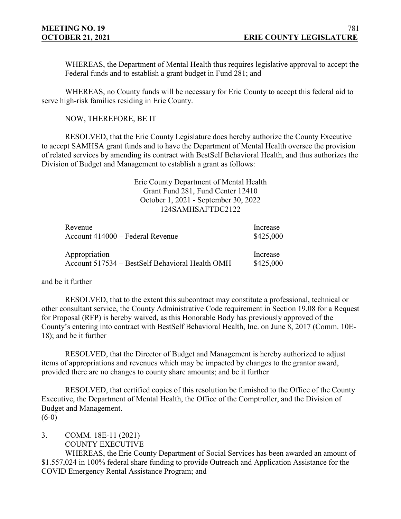WHEREAS, the Department of Mental Health thus requires legislative approval to accept the Federal funds and to establish a grant budget in Fund 281; and

WHEREAS, no County funds will be necessary for Erie County to accept this federal aid to serve high-risk families residing in Erie County.

NOW, THEREFORE, BE IT

RESOLVED, that the Erie County Legislature does hereby authorize the County Executive to accept SAMHSA grant funds and to have the Department of Mental Health oversee the provision of related services by amending its contract with BestSelf Behavioral Health, and thus authorizes the Division of Budget and Management to establish a grant as follows:

> Erie County Department of Mental Health Grant Fund 281, Fund Center 12410 October 1, 2021 - September 30, 2022 124SAMHSAFTDC2122

| Revenue                                         | Increase  |
|-------------------------------------------------|-----------|
| Account 414000 – Federal Revenue                | \$425,000 |
|                                                 |           |
| Appropriation                                   | Increase  |
| Account 517534 – BestSelf Behavioral Health OMH | \$425,000 |

#### and be it further

RESOLVED, that to the extent this subcontract may constitute a professional, technical or other consultant service, the County Administrative Code requirement in Section 19.08 for a Request for Proposal (RFP) is hereby waived, as this Honorable Body has previously approved of the County's entering into contract with BestSelf Behavioral Health, Inc. on June 8, 2017 (Comm. 10E-18); and be it further

RESOLVED, that the Director of Budget and Management is hereby authorized to adjust items of appropriations and revenues which may be impacted by changes to the grantor award, provided there are no changes to county share amounts; and be it further

RESOLVED, that certified copies of this resolution be furnished to the Office of the County Executive, the Department of Mental Health, the Office of the Comptroller, and the Division of Budget and Management.  $(6-0)$ 

3. COMM. 18E-11 (2021) COUNTY EXECUTIVE

WHEREAS, the Erie County Department of Social Services has been awarded an amount of \$1.557,024 in 100% federal share funding to provide Outreach and Application Assistance for the COVID Emergency Rental Assistance Program; and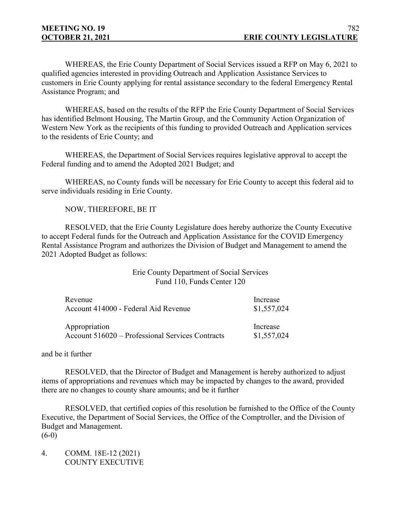WHEREAS, the Erie County Department of Social Services issued a RFP on May 6, 2021 to qualified agencies interested in providing Outreach and Application Assistance Services to customers in Erie County applying for rental assistance secondary to the federal Emergency Rental Assistance Program; and

WHEREAS, based on the results of the RFP the Erie County Department of Social Services has identified Belmont Housing, The Martin Group, and the Community Action Organization of Western New York as the recipients of this funding to provided Outreach and Application services to the residents of Erie County; and

WHEREAS, the Department of Social Services requires legislative approval to accept the Federal funding and to amend the Adopted 2021 Budget; and

WHEREAS, no County funds will be necessary for Erie County to accept this federal aid to serve individuals residing in Erie County.

NOW, THEREFORE, BE IT

RESOLVED, that the Erie County Legislature does hereby authorize the County Executive to accept Federal funds for the Outreach and Application Assistance for the COVID Emergency Rental Assistance Program and authorizes the Division of Budget and Management to amend the 2021 Adopted Budget as follows:

## Erie County Department of Social Services Fund 110, Funds Center 120

| Revenue                                          | Increase    |
|--------------------------------------------------|-------------|
| Account 414000 - Federal Aid Revenue             | \$1,557,024 |
| Appropriation                                    | Increase    |
| Account 516020 – Professional Services Contracts | \$1,557,024 |

#### and be it further

RESOLVED, that the Director of Budget and Management is hereby authorized to adjust items of appropriations and revenues which may be impacted by changes to the award, provided there are no changes to county share amounts; and be it further

RESOLVED, that certified copies of this resolution be furnished to the Office of the County Executive, the Department of Social Services, the Office of the Comptroller, and the Division of Budget and Management.  $(6-0)$ 

4. COMM. 18E-12 (2021) COUNTY EXECUTIVE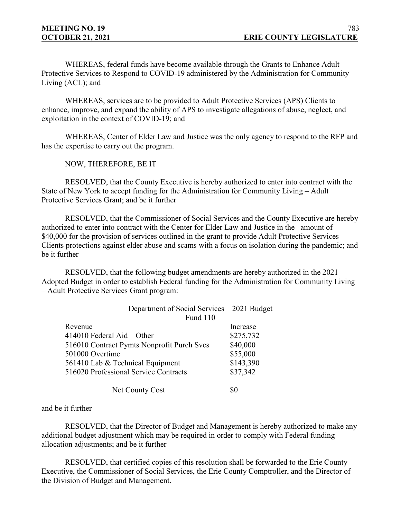WHEREAS, federal funds have become available through the Grants to Enhance Adult Protective Services to Respond to COVID-19 administered by the Administration for Community Living (ACL); and

WHEREAS, services are to be provided to Adult Protective Services (APS) Clients to enhance, improve, and expand the ability of APS to investigate allegations of abuse, neglect, and exploitation in the context of COVID-19; and

WHEREAS, Center of Elder Law and Justice was the only agency to respond to the RFP and has the expertise to carry out the program.

NOW, THEREFORE, BE IT

RESOLVED, that the County Executive is hereby authorized to enter into contract with the State of New York to accept funding for the Administration for Community Living – Adult Protective Services Grant; and be it further

RESOLVED, that the Commissioner of Social Services and the County Executive are hereby authorized to enter into contract with the Center for Elder Law and Justice in the amount of \$40,000 for the provision of services outlined in the grant to provide Adult Protective Services Clients protections against elder abuse and scams with a focus on isolation during the pandemic; and be it further

RESOLVED, that the following budget amendments are hereby authorized in the 2021 Adopted Budget in order to establish Federal funding for the Administration for Community Living – Adult Protective Services Grant program:

#### Department of Social Services – 2021 Budget  $E_{\text{max}} = 110$

| Fund TIU                                   |           |
|--------------------------------------------|-----------|
| Revenue                                    | Increase  |
| 414010 Federal Aid – Other                 | \$275,732 |
| 516010 Contract Pymts Nonprofit Purch Svcs | \$40,000  |
| 501000 Overtime                            | \$55,000  |
| 561410 Lab & Technical Equipment           | \$143,390 |
| 516020 Professional Service Contracts      | \$37,342  |
| Net County Cost                            | \$0       |

#### and be it further

RESOLVED, that the Director of Budget and Management is hereby authorized to make any additional budget adjustment which may be required in order to comply with Federal funding allocation adjustments; and be it further

RESOLVED, that certified copies of this resolution shall be forwarded to the Erie County Executive, the Commissioner of Social Services, the Erie County Comptroller, and the Director of the Division of Budget and Management.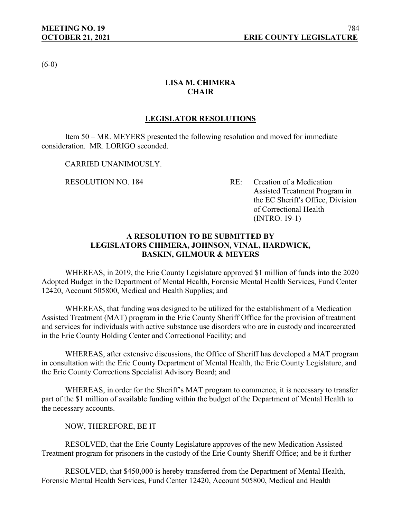$(6-0)$ 

# **LISA M. CHIMERA CHAIR**

# **LEGISLATOR RESOLUTIONS**

Item 50 – MR. MEYERS presented the following resolution and moved for immediate consideration. MR. LORIGO seconded.

CARRIED UNANIMOUSLY.

RESOLUTION NO. 184 RE: Creation of a Medication Assisted Treatment Program in the EC Sheriff's Office, Division of Correctional Health (INTRO. 19-1)

# **A RESOLUTION TO BE SUBMITTED BY LEGISLATORS CHIMERA, JOHNSON, VINAL, HARDWICK, BASKIN, GILMOUR & MEYERS**

WHEREAS, in 2019, the Erie County Legislature approved \$1 million of funds into the 2020 Adopted Budget in the Department of Mental Health, Forensic Mental Health Services, Fund Center 12420, Account 505800, Medical and Health Supplies; and

WHEREAS, that funding was designed to be utilized for the establishment of a Medication Assisted Treatment (MAT) program in the Erie County Sheriff Office for the provision of treatment and services for individuals with active substance use disorders who are in custody and incarcerated in the Erie County Holding Center and Correctional Facility; and

WHEREAS, after extensive discussions, the Office of Sheriff has developed a MAT program in consultation with the Erie County Department of Mental Health, the Erie County Legislature, and the Erie County Corrections Specialist Advisory Board; and

WHEREAS, in order for the Sheriff's MAT program to commence, it is necessary to transfer part of the \$1 million of available funding within the budget of the Department of Mental Health to the necessary accounts.

NOW, THEREFORE, BE IT

RESOLVED, that the Erie County Legislature approves of the new Medication Assisted Treatment program for prisoners in the custody of the Erie County Sheriff Office; and be it further

RESOLVED, that \$450,000 is hereby transferred from the Department of Mental Health, Forensic Mental Health Services, Fund Center 12420, Account 505800, Medical and Health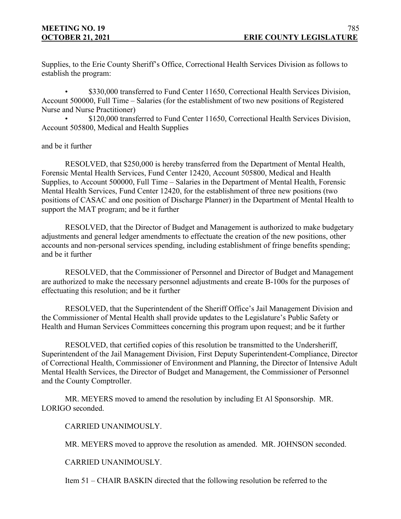Supplies, to the Erie County Sheriff's Office, Correctional Health Services Division as follows to establish the program:

\$330,000 transferred to Fund Center 11650, Correctional Health Services Division, Account 500000, Full Time – Salaries (for the establishment of two new positions of Registered Nurse and Nurse Practitioner)

• \$120,000 transferred to Fund Center 11650, Correctional Health Services Division, Account 505800, Medical and Health Supplies

## and be it further

RESOLVED, that \$250,000 is hereby transferred from the Department of Mental Health, Forensic Mental Health Services, Fund Center 12420, Account 505800, Medical and Health Supplies, to Account 500000, Full Time – Salaries in the Department of Mental Health, Forensic Mental Health Services, Fund Center 12420, for the establishment of three new positions (two positions of CASAC and one position of Discharge Planner) in the Department of Mental Health to support the MAT program; and be it further

RESOLVED, that the Director of Budget and Management is authorized to make budgetary adjustments and general ledger amendments to effectuate the creation of the new positions, other accounts and non-personal services spending, including establishment of fringe benefits spending; and be it further

RESOLVED, that the Commissioner of Personnel and Director of Budget and Management are authorized to make the necessary personnel adjustments and create B-100s for the purposes of effectuating this resolution; and be it further

RESOLVED, that the Superintendent of the Sheriff Office's Jail Management Division and the Commissioner of Mental Health shall provide updates to the Legislature's Public Safety or Health and Human Services Committees concerning this program upon request; and be it further

RESOLVED, that certified copies of this resolution be transmitted to the Undersheriff, Superintendent of the Jail Management Division, First Deputy Superintendent-Compliance, Director of Correctional Health, Commissioner of Environment and Planning, the Director of Intensive Adult Mental Health Services, the Director of Budget and Management, the Commissioner of Personnel and the County Comptroller.

MR. MEYERS moved to amend the resolution by including Et Al Sponsorship. MR. LORIGO seconded.

CARRIED UNANIMOUSLY.

MR. MEYERS moved to approve the resolution as amended. MR. JOHNSON seconded.

CARRIED UNANIMOUSLY.

Item 51 – CHAIR BASKIN directed that the following resolution be referred to the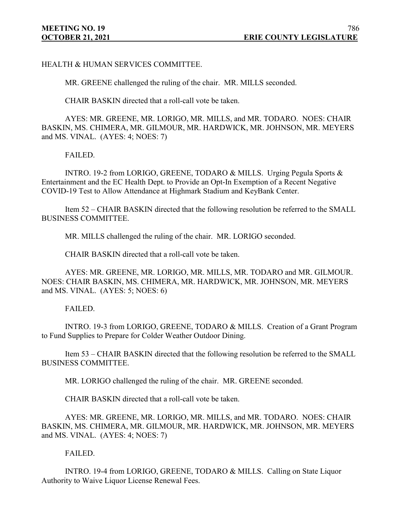HEALTH & HUMAN SERVICES COMMITTEE.

MR. GREENE challenged the ruling of the chair. MR. MILLS seconded.

CHAIR BASKIN directed that a roll-call vote be taken.

AYES: MR. GREENE, MR. LORIGO, MR. MILLS, and MR. TODARO. NOES: CHAIR BASKIN, MS. CHIMERA, MR. GILMOUR, MR. HARDWICK, MR. JOHNSON, MR. MEYERS and MS. VINAL. (AYES: 4; NOES: 7)

FAILED.

INTRO. 19-2 from LORIGO, GREENE, TODARO & MILLS. Urging Pegula Sports & Entertainment and the EC Health Dept. to Provide an Opt-In Exemption of a Recent Negative COVID-19 Test to Allow Attendance at Highmark Stadium and KeyBank Center.

Item 52 – CHAIR BASKIN directed that the following resolution be referred to the SMALL BUSINESS COMMITTEE.

MR. MILLS challenged the ruling of the chair. MR. LORIGO seconded.

CHAIR BASKIN directed that a roll-call vote be taken.

AYES: MR. GREENE, MR. LORIGO, MR. MILLS, MR. TODARO and MR. GILMOUR. NOES: CHAIR BASKIN, MS. CHIMERA, MR. HARDWICK, MR. JOHNSON, MR. MEYERS and MS. VINAL. (AYES: 5; NOES: 6)

FAILED.

INTRO. 19-3 from LORIGO, GREENE, TODARO & MILLS. Creation of a Grant Program to Fund Supplies to Prepare for Colder Weather Outdoor Dining.

Item 53 – CHAIR BASKIN directed that the following resolution be referred to the SMALL BUSINESS COMMITTEE.

MR. LORIGO challenged the ruling of the chair. MR. GREENE seconded.

CHAIR BASKIN directed that a roll-call vote be taken.

AYES: MR. GREENE, MR. LORIGO, MR. MILLS, and MR. TODARO. NOES: CHAIR BASKIN, MS. CHIMERA, MR. GILMOUR, MR. HARDWICK, MR. JOHNSON, MR. MEYERS and MS. VINAL. (AYES: 4; NOES: 7)

FAILED.

INTRO. 19-4 from LORIGO, GREENE, TODARO & MILLS. Calling on State Liquor Authority to Waive Liquor License Renewal Fees.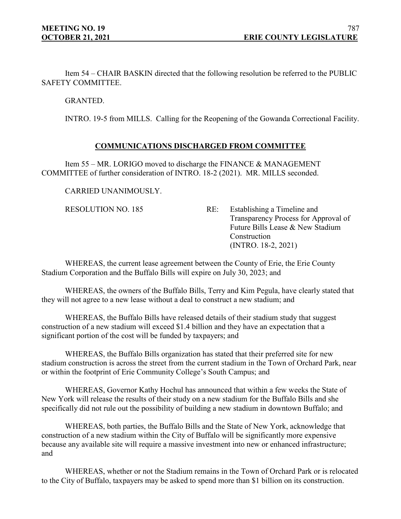Item 54 – CHAIR BASKIN directed that the following resolution be referred to the PUBLIC SAFETY COMMITTEE.

GRANTED.

INTRO. 19-5 from MILLS. Calling for the Reopening of the Gowanda Correctional Facility.

# **COMMUNICATIONS DISCHARGED FROM COMMITTEE**

Item 55 – MR. LORIGO moved to discharge the FINANCE & MANAGEMENT COMMITTEE of further consideration of INTRO. 18-2 (2021). MR. MILLS seconded.

## CARRIED UNANIMOUSLY.

RESOLUTION NO. 185 RE: Establishing a Timeline and Transparency Process for Approval of Future Bills Lease & New Stadium **Construction** (INTRO. 18-2, 2021)

WHEREAS, the current lease agreement between the County of Erie, the Erie County Stadium Corporation and the Buffalo Bills will expire on July 30, 2023; and

WHEREAS, the owners of the Buffalo Bills, Terry and Kim Pegula, have clearly stated that they will not agree to a new lease without a deal to construct a new stadium; and

WHEREAS, the Buffalo Bills have released details of their stadium study that suggest construction of a new stadium will exceed \$1.4 billion and they have an expectation that a significant portion of the cost will be funded by taxpayers; and

WHEREAS, the Buffalo Bills organization has stated that their preferred site for new stadium construction is across the street from the current stadium in the Town of Orchard Park, near or within the footprint of Erie Community College's South Campus; and

WHEREAS, Governor Kathy Hochul has announced that within a few weeks the State of New York will release the results of their study on a new stadium for the Buffalo Bills and she specifically did not rule out the possibility of building a new stadium in downtown Buffalo; and

WHEREAS, both parties, the Buffalo Bills and the State of New York, acknowledge that construction of a new stadium within the City of Buffalo will be significantly more expensive because any available site will require a massive investment into new or enhanced infrastructure; and

WHEREAS, whether or not the Stadium remains in the Town of Orchard Park or is relocated to the City of Buffalo, taxpayers may be asked to spend more than \$1 billion on its construction.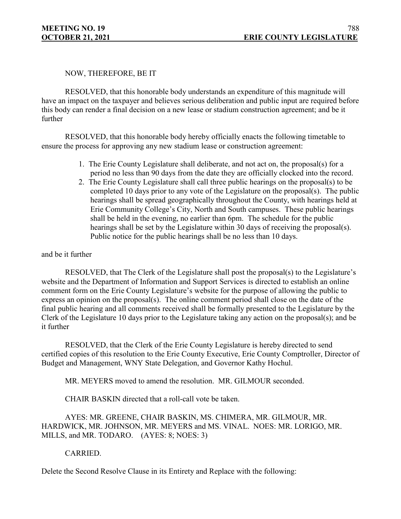#### NOW, THEREFORE, BE IT

RESOLVED, that this honorable body understands an expenditure of this magnitude will have an impact on the taxpayer and believes serious deliberation and public input are required before this body can render a final decision on a new lease or stadium construction agreement; and be it further

RESOLVED, that this honorable body hereby officially enacts the following timetable to ensure the process for approving any new stadium lease or construction agreement:

- 1. The Erie County Legislature shall deliberate, and not act on, the proposal(s) for a period no less than 90 days from the date they are officially clocked into the record.
- 2. The Erie County Legislature shall call three public hearings on the proposal(s) to be completed 10 days prior to any vote of the Legislature on the proposal(s). The public hearings shall be spread geographically throughout the County, with hearings held at Erie Community College's City, North and South campuses. These public hearings shall be held in the evening, no earlier than 6pm. The schedule for the public hearings shall be set by the Legislature within 30 days of receiving the proposal(s). Public notice for the public hearings shall be no less than 10 days.

#### and be it further

RESOLVED, that The Clerk of the Legislature shall post the proposal(s) to the Legislature's website and the Department of Information and Support Services is directed to establish an online comment form on the Erie County Legislature's website for the purpose of allowing the public to express an opinion on the proposal(s). The online comment period shall close on the date of the final public hearing and all comments received shall be formally presented to the Legislature by the Clerk of the Legislature 10 days prior to the Legislature taking any action on the proposal(s); and be it further

RESOLVED, that the Clerk of the Erie County Legislature is hereby directed to send certified copies of this resolution to the Erie County Executive, Erie County Comptroller, Director of Budget and Management, WNY State Delegation, and Governor Kathy Hochul.

MR. MEYERS moved to amend the resolution. MR. GILMOUR seconded.

CHAIR BASKIN directed that a roll-call vote be taken.

AYES: MR. GREENE, CHAIR BASKIN, MS. CHIMERA, MR. GILMOUR, MR. HARDWICK, MR. JOHNSON, MR. MEYERS and MS. VINAL. NOES: MR. LORIGO, MR. MILLS, and MR. TODARO. (AYES: 8; NOES: 3)

## CARRIED.

Delete the Second Resolve Clause in its Entirety and Replace with the following: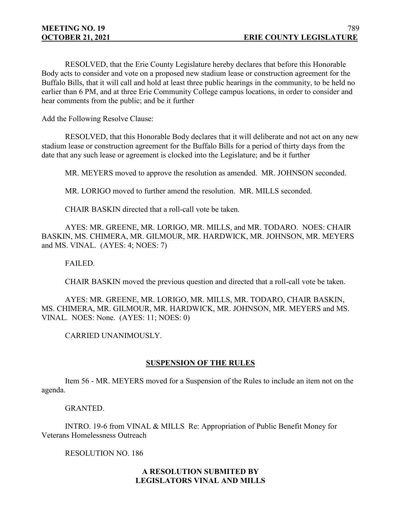RESOLVED, that the Erie County Legislature hereby declares that before this Honorable Body acts to consider and vote on a proposed new stadium lease or construction agreement for the Buffalo Bills, that it will call and hold at least three public hearings in the community, to be held no earlier than 6 PM, and at three Erie Community College campus locations, in order to consider and hear comments from the public; and be it further

Add the Following Resolve Clause:

RESOLVED, that this Honorable Body declares that it will deliberate and not act on any new stadium lease or construction agreement for the Buffalo Bills for a period of thirty days from the date that any such lease or agreement is clocked into the Legislature; and be it further

MR. MEYERS moved to approve the resolution as amended. MR. JOHNSON seconded.

MR. LORIGO moved to further amend the resolution. MR. MILLS seconded.

CHAIR BASKIN directed that a roll-call vote be taken.

AYES: MR. GREENE, MR. LORIGO, MR. MILLS, and MR. TODARO. NOES: CHAIR BASKIN, MS. CHIMERA, MR. GILMOUR, MR. HARDWICK, MR. JOHNSON, MR. MEYERS and MS. VINAL. (AYES: 4; NOES: 7)

FAILED.

CHAIR BASKIN moved the previous question and directed that a roll-call vote be taken.

AYES: MR. GREENE, MR. LORIGO, MR. MILLS, MR. TODARO, CHAIR BASKIN, MS. CHIMERA, MR. GILMOUR, MR. HARDWICK, MR. JOHNSON, MR. MEYERS and MS. VINAL. NOES: None. (AYES: 11; NOES: 0)

CARRIED UNANIMOUSLY.

## **SUSPENSION OF THE RULES**

Item 56 - MR. MEYERS moved for a Suspension of the Rules to include an item not on the agenda.

GRANTED.

INTRO. 19-6 from VINAL & MILLS Re: Appropriation of Public Benefit Money for Veterans Homelessness Outreach

RESOLUTION NO. 186

# **A RESOLUTION SUBMITED BY LEGISLATORS VINAL AND MILLS**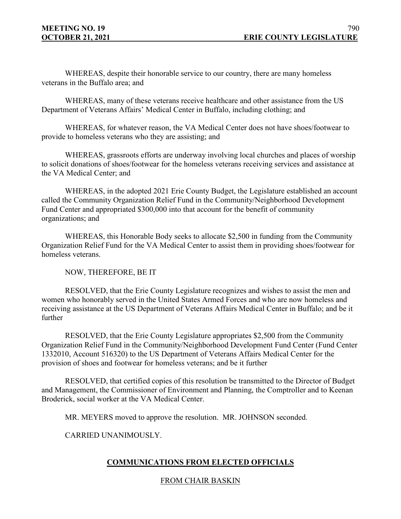WHEREAS, despite their honorable service to our country, there are many homeless veterans in the Buffalo area; and

WHEREAS, many of these veterans receive healthcare and other assistance from the US Department of Veterans Affairs' Medical Center in Buffalo, including clothing; and

WHEREAS, for whatever reason, the VA Medical Center does not have shoes/footwear to provide to homeless veterans who they are assisting; and

WHEREAS, grassroots efforts are underway involving local churches and places of worship to solicit donations of shoes/footwear for the homeless veterans receiving services and assistance at the VA Medical Center; and

WHEREAS, in the adopted 2021 Erie County Budget, the Legislature established an account called the Community Organization Relief Fund in the Community/Neighborhood Development Fund Center and appropriated \$300,000 into that account for the benefit of community organizations; and

WHEREAS, this Honorable Body seeks to allocate \$2,500 in funding from the Community Organization Relief Fund for the VA Medical Center to assist them in providing shoes/footwear for homeless veterans.

NOW, THEREFORE, BE IT

RESOLVED, that the Erie County Legislature recognizes and wishes to assist the men and women who honorably served in the United States Armed Forces and who are now homeless and receiving assistance at the US Department of Veterans Affairs Medical Center in Buffalo; and be it further

RESOLVED, that the Erie County Legislature appropriates \$2,500 from the Community Organization Relief Fund in the Community/Neighborhood Development Fund Center (Fund Center 1332010, Account 516320) to the US Department of Veterans Affairs Medical Center for the provision of shoes and footwear for homeless veterans; and be it further

RESOLVED, that certified copies of this resolution be transmitted to the Director of Budget and Management, the Commissioner of Environment and Planning, the Comptroller and to Keenan Broderick, social worker at the VA Medical Center.

MR. MEYERS moved to approve the resolution. MR. JOHNSON seconded.

CARRIED UNANIMOUSLY.

# **COMMUNICATIONS FROM ELECTED OFFICIALS**

# FROM CHAIR BASKIN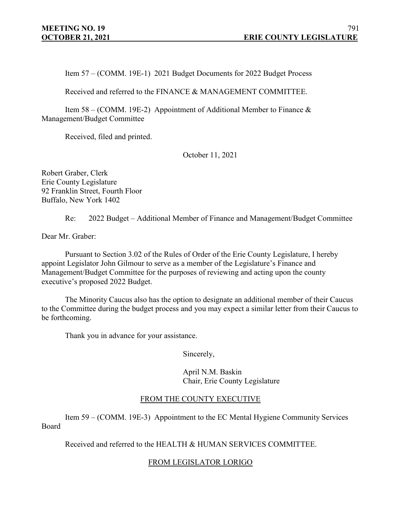Item 57 – (COMM. 19E-1) 2021 Budget Documents for 2022 Budget Process

Received and referred to the FINANCE & MANAGEMENT COMMITTEE.

Item 58 – (COMM. 19E-2) Appointment of Additional Member to Finance  $\&$ Management/Budget Committee

Received, filed and printed.

October 11, 2021

Robert Graber, Clerk Erie County Legislature 92 Franklin Street, Fourth Floor Buffalo, New York 1402

Re: 2022 Budget – Additional Member of Finance and Management/Budget Committee

Dear Mr. Graber:

Pursuant to Section 3.02 of the Rules of Order of the Erie County Legislature, I hereby appoint Legislator John Gilmour to serve as a member of the Legislature's Finance and Management/Budget Committee for the purposes of reviewing and acting upon the county executive's proposed 2022 Budget.

The Minority Caucus also has the option to designate an additional member of their Caucus to the Committee during the budget process and you may expect a similar letter from their Caucus to be forthcoming.

Thank you in advance for your assistance.

Sincerely,

April N.M. Baskin Chair, Erie County Legislature

# FROM THE COUNTY EXECUTIVE

Item 59 – (COMM. 19E-3) Appointment to the EC Mental Hygiene Community Services Board

Received and referred to the HEALTH & HUMAN SERVICES COMMITTEE.

# FROM LEGISLATOR LORIGO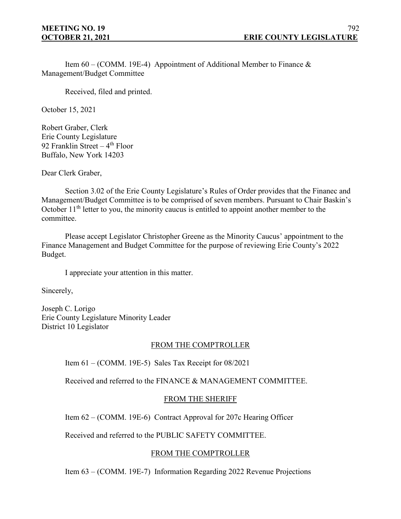Item  $60 - (COMM. 19E-4)$  Appointment of Additional Member to Finance & Management/Budget Committee

Received, filed and printed.

October 15, 2021

Robert Graber, Clerk Erie County Legislature 92 Franklin Street  $-4$ <sup>th</sup> Floor Buffalo, New York 14203

Dear Clerk Graber,

Section 3.02 of the Erie County Legislature's Rules of Order provides that the Finanec and Management/Budget Committee is to be comprised of seven members. Pursuant to Chair Baskin's October  $11<sup>th</sup>$  letter to you, the minority caucus is entitled to appoint another member to the committee.

Please accept Legislator Christopher Greene as the Minority Caucus' appointment to the Finance Management and Budget Committee for the purpose of reviewing Erie County's 2022 Budget.

I appreciate your attention in this matter.

Sincerely,

Joseph C. Lorigo Erie County Legislature Minority Leader District 10 Legislator

## FROM THE COMPTROLLER

Item  $61 - (COMM. 19E-5)$  Sales Tax Receipt for  $08/2021$ 

Received and referred to the FINANCE & MANAGEMENT COMMITTEE.

## FROM THE SHERIFF

Item 62 – (COMM. 19E-6) Contract Approval for 207c Hearing Officer

Received and referred to the PUBLIC SAFETY COMMITTEE.

## FROM THE COMPTROLLER

Item 63 – (COMM. 19E-7) Information Regarding 2022 Revenue Projections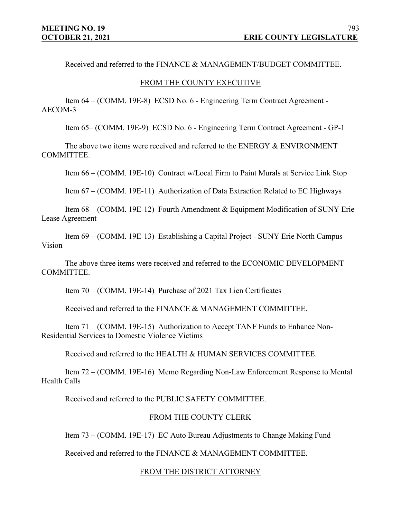Received and referred to the FINANCE & MANAGEMENT/BUDGET COMMITTEE.

#### FROM THE COUNTY EXECUTIVE

Item 64 – (COMM. 19E-8) ECSD No. 6 - Engineering Term Contract Agreement - AECOM-3

Item 65– (COMM. 19E-9) ECSD No. 6 - Engineering Term Contract Agreement - GP-1

The above two items were received and referred to the ENERGY & ENVIRONMENT COMMITTEE.

Item 66 – (COMM. 19E-10) Contract w/Local Firm to Paint Murals at Service Link Stop

Item 67 – (COMM. 19E-11) Authorization of Data Extraction Related to EC Highways

Item 68 – (COMM. 19E-12) Fourth Amendment & Equipment Modification of SUNY Erie Lease Agreement

Item 69 – (COMM. 19E-13) Establishing a Capital Project - SUNY Erie North Campus Vision

The above three items were received and referred to the ECONOMIC DEVELOPMENT COMMITTEE.

Item 70 – (COMM. 19E-14) Purchase of 2021 Tax Lien Certificates

Received and referred to the FINANCE & MANAGEMENT COMMITTEE.

Item 71 – (COMM. 19E-15) Authorization to Accept TANF Funds to Enhance Non-Residential Services to Domestic Violence Victims

Received and referred to the HEALTH & HUMAN SERVICES COMMITTEE.

Item 72 – (COMM. 19E-16) Memo Regarding Non-Law Enforcement Response to Mental Health Calls

Received and referred to the PUBLIC SAFETY COMMITTEE.

#### FROM THE COUNTY CLERK

Item 73 – (COMM. 19E-17) EC Auto Bureau Adjustments to Change Making Fund

Received and referred to the FINANCE & MANAGEMENT COMMITTEE.

#### FROM THE DISTRICT ATTORNEY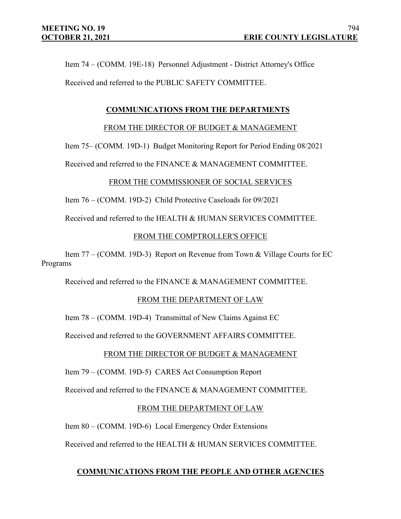Item 74 – (COMM. 19E-18) Personnel Adjustment - District Attorney's Office Received and referred to the PUBLIC SAFETY COMMITTEE.

# **COMMUNICATIONS FROM THE DEPARTMENTS**

#### FROM THE DIRECTOR OF BUDGET & MANAGEMENT

Item 75– (COMM. 19D-1) Budget Monitoring Report for Period Ending 08/2021

Received and referred to the FINANCE & MANAGEMENT COMMITTEE.

#### FROM THE COMMISSIONER OF SOCIAL SERVICES

Item 76 – (COMM. 19D-2) Child Protective Caseloads for 09/2021

Received and referred to the HEALTH & HUMAN SERVICES COMMITTEE.

#### FROM THE COMPTROLLER'S OFFICE

Item 77 – (COMM. 19D-3) Report on Revenue from Town & Village Courts for EC Programs

Received and referred to the FINANCE & MANAGEMENT COMMITTEE.

## FROM THE DEPARTMENT OF LAW

Item 78 – (COMM. 19D-4) Transmittal of New Claims Against EC

Received and referred to the GOVERNMENT AFFAIRS COMMITTEE.

## FROM THE DIRECTOR OF BUDGET & MANAGEMENT

Item 79 – (COMM. 19D-5) CARES Act Consumption Report

Received and referred to the FINANCE & MANAGEMENT COMMITTEE.

#### FROM THE DEPARTMENT OF LAW

Item 80 – (COMM. 19D-6) Local Emergency Order Extensions

Received and referred to the HEALTH & HUMAN SERVICES COMMITTEE.

## **COMMUNICATIONS FROM THE PEOPLE AND OTHER AGENCIES**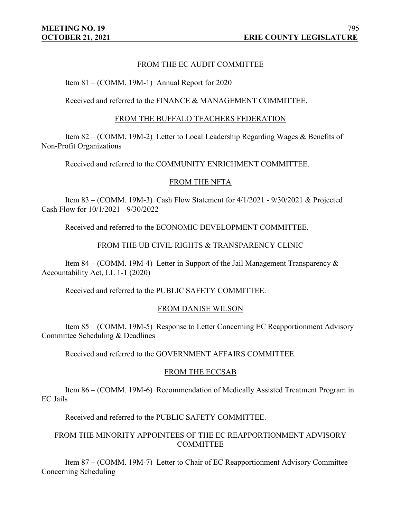#### FROM THE EC AUDIT COMMITTEE

Item 81 – (COMM. 19M-1) Annual Report for 2020

Received and referred to the FINANCE & MANAGEMENT COMMITTEE.

#### FROM THE BUFFALO TEACHERS FEDERATION

Item 82 – (COMM. 19M-2) Letter to Local Leadership Regarding Wages & Benefits of Non-Profit Organizations

Received and referred to the COMMUNITY ENRICHMENT COMMITTEE.

#### FROM THE NFTA

Item 83 – (COMM. 19M-3) Cash Flow Statement for 4/1/2021 - 9/30/2021 & Projected Cash Flow for 10/1/2021 - 9/30/2022

Received and referred to the ECONOMIC DEVELOPMENT COMMITTEE.

#### FROM THE UB CIVIL RIGHTS & TRANSPARENCY CLINIC

Item 84 – (COMM. 19M-4) Letter in Support of the Jail Management Transparency  $\&$ Accountability Act, LL 1-1 (2020)

Received and referred to the PUBLIC SAFETY COMMITTEE.

#### FROM DANISE WILSON

Item 85 – (COMM. 19M-5) Response to Letter Concerning EC Reapportionment Advisory Committee Scheduling & Deadlines

Received and referred to the GOVERNMENT AFFAIRS COMMITTEE.

#### FROM THE ECCSAB

Item 86 – (COMM. 19M-6) Recommendation of Medically Assisted Treatment Program in EC Jails

Received and referred to the PUBLIC SAFETY COMMITTEE.

### FROM THE MINORITY APPOINTEES OF THE EC REAPPORTIONMENT ADVISORY COMMITTEE

Item 87 – (COMM. 19M-7) Letter to Chair of EC Reapportionment Advisory Committee Concerning Scheduling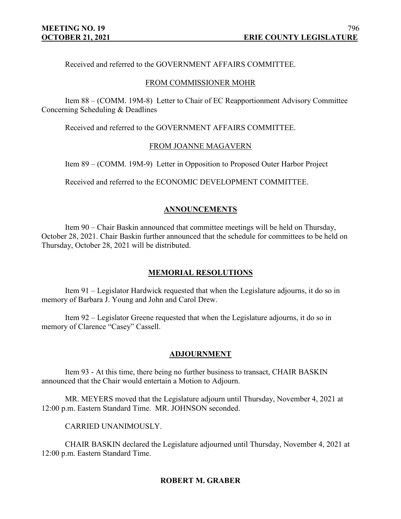Received and referred to the GOVERNMENT AFFAIRS COMMITTEE.

## FROM COMMISSIONER MOHR

Item 88 – (COMM. 19M-8) Letter to Chair of EC Reapportionment Advisory Committee Concerning Scheduling & Deadlines

Received and referred to the GOVERNMENT AFFAIRS COMMITTEE.

# FROM JOANNE MAGAVERN

Item 89 – (COMM. 19M-9) Letter in Opposition to Proposed Outer Harbor Project

Received and referred to the ECONOMIC DEVELOPMENT COMMITTEE.

# **ANNOUNCEMENTS**

Item 90 – Chair Baskin announced that committee meetings will be held on Thursday, October 28, 2021. Chair Baskin further announced that the schedule for committees to be held on Thursday, October 28, 2021 will be distributed.

# **MEMORIAL RESOLUTIONS**

Item 91 – Legislator Hardwick requested that when the Legislature adjourns, it do so in memory of Barbara J. Young and John and Carol Drew.

Item 92 – Legislator Greene requested that when the Legislature adjourns, it do so in memory of Clarence "Casey" Cassell.

## **ADJOURNMENT**

Item 93 - At this time, there being no further business to transact, CHAIR BASKIN announced that the Chair would entertain a Motion to Adjourn.

MR. MEYERS moved that the Legislature adjourn until Thursday, November 4, 2021 at 12:00 p.m. Eastern Standard Time. MR. JOHNSON seconded.

CARRIED UNANIMOUSLY.

CHAIR BASKIN declared the Legislature adjourned until Thursday, November 4, 2021 at 12:00 p.m. Eastern Standard Time.

## **ROBERT M. GRABER**